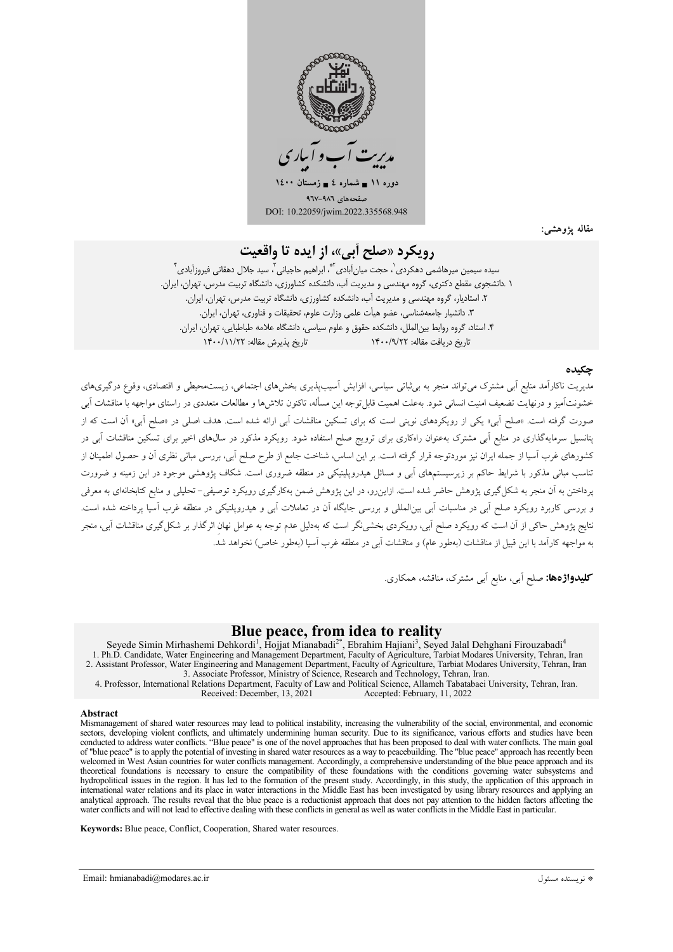

مقاله يژوهشي:

# رويكرد «صلح أبي»، از ايده تا واقعيت

سيده سيمين ميرهاشمي دهكردي ْ، حجت ميان اَبادي ٌّ، ابراهيم حاجياني ّ، سيد جلال دهقاني فيروزاَبادي ٌّ ۱ .دانشجوی مقطع دکتری، گروه مهندسی و مدیریت اَب، دانشکده کشاورزی، دانشگاه تربیت مدرس، تهران، ایران. ۲. استادیار، گروه مهندسی و مدیریت آب، دانشکده کشاورزی، دانشگاه تربیت مدرس، تهران، ایران. ٣. دانشيار جامعهشناسي، عضو هيأت علمي وزارت علوم، تحقيقات و فناوري، تهران، ايران. ۴. استاد، گروه روابط بین|لملل، دانشکده حقوق و علوم سیاسی، دانشگاه علامه طباطبایی، تهران، ایران. تاريخ پذيرش مقاله: ١۴٠٠/١١/٢٢ ناریخ دریافت مقاله: ۱۴۰۰/۹/۲۲

### چکىدە

مدیریت ناکارآمد منابع آبی مشترک می تواند منجر به بی ثباتی سیاسی، افزایش آسیبپذیری بخشهای اجتماعی، زیستمحیطی و اقتصادی، وقوع درگیریهای .<br>خشونتآمیز و درنهایت تضعیف امنیت انسانی شود. بهعلت اهمیت قابل توجه این مسأله، تاکنون تلاش ها و مطالعات متعددی در راستای مواجهه با مناقشات آبی صورت گرفته است. «صلح آبی» یکی از رویکردهای نوینی است که برای تسکین مناقشات آبی ارائه شده است. هدف اصلی در «صلح آبی» آن است که از پتانسیل سرمایهگذاری در منابع اَبی مشترک بهعنوان راهکاری برای ترویج صلح استفاده شود. رویکرد مذکور در سال&ای اخیر برای تسکین مناقشات اَبی در کشورهای غرب آسیا از جمله ایران نیز موردتوجه قرار گرفته است. بر این اساس، شناخت جامع از طرح صلح آبی، بررسی مبانی نظری آن و حصول اطمینان از ۔<br>تناسب مبان<sub>ہ</sub> مذکور با شرایط حاکم بر زیرسیستمھای آبی و مسائل ہیدرویلیتیکی در منطقه ضروری است. شکاف یژوهشی موجود در این زمینه و ضرورت یرداختن به آن منجر به شکل گیری پژوهش حاضر شده است. ازاین رو، در این پژوهش ضمن بهکارگیری رویکرد توصیفی– تحلیلی و منابع کتابخانهای به معرفی و بررسی کاربرد رویکرد صلح اّبی در مناسبات اّبی بینالمللی و بررسی جایگاه اّن در تعاملات اّبی و هیدروپلتیکی در منطقه غرب اسیا پرداخته شده است. .<br>نتایج پژوهش حاکی از آن است که رویکرد صلح آبی، رویکردی بخشینگر است که بهدلیل عدم توجه به عوامل نهان اثرگذار بر شکل گیری مناقشات آبی، منجر به مواجهه کارآمد با این قبیل از مناقشات (بهطور عام) و مناقشات آبی در منطقه غرب آسیا (بهطور خاص) نخواهد شدّ.

**کلیدواژهها:** صلح اَبی، منابع اَبی مشترک، مناقشه، همکاری.

### Blue peace, from idea to reality

Seyede Simin Mirhashemi Dehkordi<sup>1</sup>, Hojjat Mianabadi<sup>2\*</sup>, Ebrahim Hajiani<sup>3</sup>, Seyed Jalal Dehghani Firouzabadi<sup>4</sup> 1. Ph.D. Candidate, Water Engineering and Management Department, Faculty of Agriculture, Tarbiat Modares University, Tehran, Iran 2. Assistant Professor, Water Engineering and Management Department, Faculty of Agriculture,

3. Associate Professor, Ministry of Science, Research and Technology, Tehran, Iran.<br>4. Professor, International Relations Department, Faculty of Law and Political Science, Allameh Tabatabaei University, Tehran, Iran. Received: December, 13, 2021 Accepted: February, 11, 2022

#### **Abstract**

Mismanagement of shared water resources may lead to political instability, increasing the vulnerability of the social, environmental, and economic sectors, developing violent conflicts, and ultimately undermining human security. Due to its significance, various efforts and studies have been conducted to address water conflicts. "Blue peace" is one of the novel approaches that has been proposed to deal with water conflicts. The main goal of "blue peace" is to apply the potential of investing in shared water resources as a way to peacebuilding. The "blue peace" approach has recently been welcomed in West Asian countries for water conflicts management. Accordingly, a comprehensive understanding of the blue peace approach and its theoretical foundations is necessary to ensure the compatibility of these foundations with the conditions governing water subsystems and hydropolitical issues in the region. It has led to the formation of the present study. Accordingly, in this study, the application of this approach in international water relations and its place in water interactions in the Middle East has been investigated by using library resources and applying an analytical approach. The results reveal that the blue peace is a reductionist approach that does not pay attention to the hidden factors affecting the water conflicts and will not lead to effective dealing with these conflicts in general as well as water conflicts in the Middle East in particular.

Keywords: Blue peace, Conflict, Cooperation, Shared water resources.

Email: hmianabadi@modares.ac.ir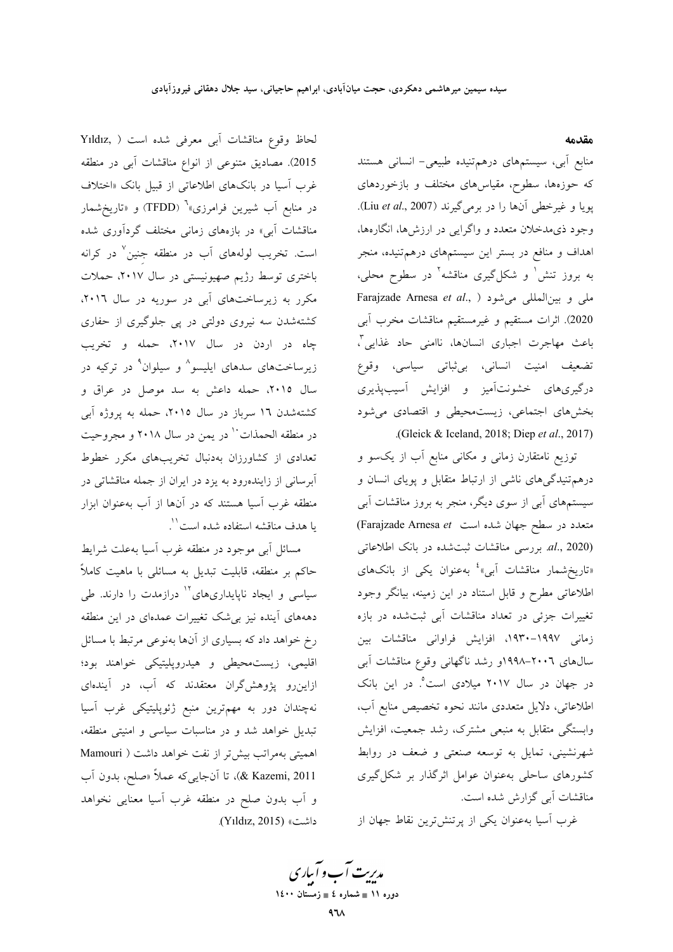مقدمه

منابع آبی، سیستمهای درهمتنیده طبیعی- انسانی هستند که حوزهها، سطوح، مقیاسهای مختلف و بازخوردهای يويا و غيرخطي أنها را در برميگيرند (Liu et al., 2007). وجود ذي مدخلان متعدد و واگرايي در ارزش ها، انگارهها، اهداف و منافع در بستر این سیستمهای درهمتنیده، منجر به بروز تنش ٰ و شکلگیری مناقشه ٔ در سطوح محلی، Farajzade Arnesa et al., ) ملى و بينالمللى مى شود 2020). اثرات مستقيم و غيرمستقيم مناقشات مخرب آبي باعث مهاجرت اجباري انسانها، ناامني حاد غذايي"، تضعیف امنیت انسانی، بی¢باتی سیاسی، وقوع درگیریهای خشونتآمیز و افزایش آسیبپذیری بخشهای اجتماعی، زیست محیطی و اقتصادی می شود (Gleick & Iceland, 2018; Diep et al., 2017).

توزیع نامتقارن زمانی و مکانی منابع آب از یکسو و درهم تنیدگیهای ناشی از ارتباط متقابل و پویای انسان و سیستمهای آبی از سوی دیگر، منجر به بروز مناقشات آبی (Farajzade Arnesa et متعدد در سطح جهان شده است ) al., 2020). بررسی مناقشات ثبت شده در بانک اطلاعاتی «تاریخشمار مناقشات آبی»<sup>؛</sup> بهعنوان یکی از بانکهای اطلاعاتی مطرح و قابل استناد در این زمینه، بیانگر وجود تغییرات جزئی در تعداد مناقشات آبی ثبتشده در بازه زمانی ۱۹۹۷–۱۹۳۰، افزایش فراوانی مناقشات بین سال های ۲۰۰٦–۱۹۹۸و رشد ناگهانی وقوع مناقشات آبی در جهان در سال ۲۰۱۷ میلادی است°. در این بانک اطلاعاتی، دلایل متعددی مانند نحوه تخصیص منابع أب، وابستگی متقابل به منبعی مشترک، رشد جمعیت، افزایش شهرنشینی، تمایل به توسعه صنعتی و ضعف در روابط کشورهای ساحلی بهعنوان عوامل اثرگذار بر شکل گیری مناقشات آبی گزارش شده است.

غرب اسیا بهعنوان یکی از پرتنش ترین نقاط جهان از

لحاظ وقوع مناقشات أبي معرفي شده است ( ,Yıldız 2015). مصاديق متنوعي از انواع مناقشات أبي در منطقه غرب آسیا در بانکهای اطلاعاتی از قبیل بانک «اختلاف در منابع اَب شیرین فرامرزی»<sup>٬</sup> (TFDD) و «تاریخشمار مناقشات آب<sub>ی</sub>» در بازههای زمان<sub>ی</sub> مختلف گردآوری شده است. تخریب لولههای آب در منطقه جنین<sup>٬</sup> در کرانه باختری توسط رژیم صهیونیستی در سال ۲۰۱۷، حملات مکرر به زیرساختهای آبی در سوریه در سال ۲۰۱٦، کشتهشدن سه نیروی دولتی در پی جلوگیری از حفاری چاه در اردن در سال ۲۰۱۷، حمله و تخریب زیرساختهای سدهای ایلیسو<sup>^</sup> و سیلوان<sup>۹</sup> در ترکیه در سال ۲۰۱۵، حمله داعش به سد موصل در عراق و کشتهشدن ۱۶ سرباز در سال ۲۰۱۵، حمله به پروژه آبی در منطقه الحمذات<sup>١٠</sup> در يمن در سال ٢٠١٨ و مجروحيت تعدادی از کشاورزان بهدنبال تخریبهای مکرر خطوط .<br>آبرسانی از زایندهرود به یزد در ایران از جمله مناقشاتی در منطقه غرب اسیا هستند که در آنها از اَب بهعنوان ابزار يا هدف مناقشه استفاده شده است``.

مسائل أبي موجود در منطقه غرب أسيا بهعلت شرايط حاکم بر منطقه، قابلیت تبدیل به مسائلی با ماهیت کاملاً سیاسی و ایجاد ناپایداریهای<sup>۱۲</sup> درازمدت را دارند. طی دهههای آینده نیز بیشک تغییرات عمدهای در این منطقه رخ خواهد داد که بسیاری از آنها بهنوعی مرتبط با مسائل اقلیمی، زیست.محیطی و هیدروپلیتیکی خواهند بود؛ ازاین رو پژوهش گران معتقدند که آب، در آیندهای نهچندان دور به مهمترین منبع ژئوپلیتیکی غرب آسیا تبدیل خواهد شد و در مناسبات سیاسی و امنیتی منطقه، اهمیتی بهمراتب بیش تر از نفت خواهد داشت ( Mamouri 2011 ,& Kazemi)، تا آنجایی که عملاً «صلح، بدون آب و آب بدون صلح در منطقه غرب آسیا معنایی نخواهد داشت» (Yıldız, 2015).

مدیریت آب و آباری دوره ۱۱ ∎ شماره ٤ ∎ زمستان ۱٤۰۰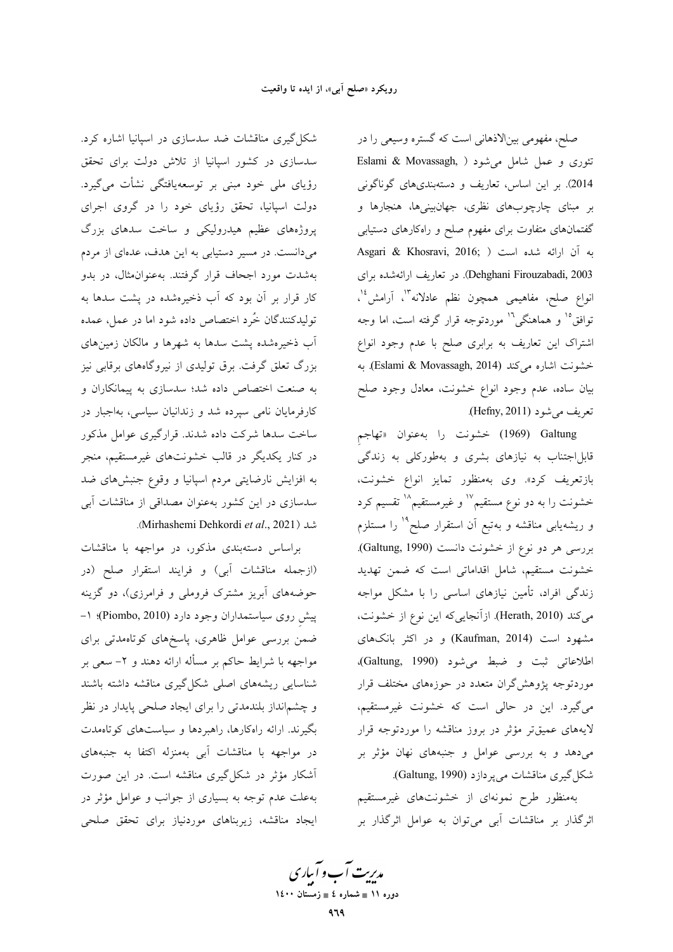صلح، مفهومی بینالاذهانی است که گستره وسیعی را در تئوری و عمل شامل میشود ( ,Eslami & Movassagh 2014). بر این اساس، تعاریف و دستهبندیهای گوناگونی بر مبنای چارچوبهای نظری، جهانبینیها، هنجارها و گفتمانهای متفاوت برای مفهوم صلح و راهکارهای دستیابی Asgari & Khosravi, 2016; ) به آن ارائه شده است Dehghani Firouzabadi, 2003). در تعاريف ارائهشده براي انواع صلح، مفاهیمی همچون نظم عادلانه<sup>۱۳</sup>، آرامش<sup>، ۱</sup> توافق°<sup>۱</sup> و هماهنگی<sup>۱</sup>' موردتوجه قرار گرفته است، اما وجه اشتراک این تعاریف به برابری صلح با عدم وجود انواع خشونت اشاره می کند (Eslami & Movassagh, 2014). به بیان ساده، عدم وجود انواع خشونت، معادل وجود صلح تعريف مي شود (Hefny, 2011).

Galtung (1969) خشونت را بهعنوان «تهاجم قابلاجتناب به نیازهای بشری و بهطورکلی به زندگی بازتعریف کرد». وی بهمنظور تمایز انواع خشونت، خشونت را به دو نوع مستقیم'`` و غیرمستقیم'`` تقسیم کرد و ریشهیابی مناقشه و بهتبع آن استقرار صلح<sup>۱۹</sup> را مستلزم بررسی هر دو نوع از خشونت دانست (Galtung, 1990). خشونت مستقیم، شامل اقداماتی است که ضمن تهدید زندگی افراد، تأمین نیازهای اساسی را با مشکل مواجه می کند (Herath, 2010). ازآنجایی که این نوع از خشونت، مشهود است (Kaufman, 2014) و در اکثر بانکهای اطلاعاتی ثبت و ضبط می شود (Galtung, 1990)، موردتوجه پژوهشگران متعدد در حوزههای مختلف قرار میگیرد. این در حالی است که خشونت غیرمستقیم، لایههای عمیقتر مؤثر در بروز مناقشه را موردتوجه قرار میدهد و به بررسی عوامل و جنبههای نهان مؤثر بر شکل گیری مناقشات میپردازد (Galtung, 1990).

بهمنظور طرح نمونهای از خشونتهای غیرمستقیم اثرگذار بر مناقشات آبی میتوان به عوامل اثرگذار بر

شکل گیری مناقشات ضد سدسازی در اسپانیا اشاره کرد. سدسازی در کشور اسپانیا از تلاش دولت برای تحقق رؤیای ملی خود مبنی بر توسعهیافتگی نشأت میگیرد. دولت اسپانیا، تحقق رؤیای خود را در گروی اجرای پروژههای عظیم هیدرولیکی و ساخت سدهای بزرگ میدانست. در مسیر دستیابی به این هدف، عدمای از مردم بهشدت مورد اجحاف قرار گرفتند. بهعنوان مثال، در بدو کار قرار بر آن بود که آب ذخیرهشده در پشت سدها به تولیدکنندگان خُرد اختصاص داده شود اما در عمل، عمده آب ذخیرهشده پشت سدها به شهرها و مالکان زمینهای بزرگ تعلق گرفت. برق تولیدی از نیروگاههای برقابی نیز به صنعت اختصاص داده شد؛ سدسازی به پیمانکاران و کارفرمایان نامی سپرده شد و زندانیان سیاسی، بهاجبار در ساخت سدها شرکت داده شدند. قرارگیری عوامل مذکور در کنار یکدیگر در قالب خشونتهای غیرمستقیم، منجر به افزایش نارضایتی مردم اسپانیا و وقوع جنبشهای ضد سدسازی در این کشور بهعنوان مصداقی از مناقشات آبی شد (Mirhashemi Dehkordi et al., 2021).

براساس دستهبندي مذكور، در مواجهه با مناقشات (ازجمله مناقشات آبي) و فرايند استقرار صلح (در حوضههای آبریز مشترک فروملی و فرامرزی)، دو گزینه پیش روی سیاستمداران وجود دارد (Piombo, 2010)؛ ۱-ضمن بررسی عوامل ظاهری، پاسخهای کوتاهمدتی برای مواجهه با شرایط حاکم بر مسأله ارائه دهند و ۲– سعی بر شناسایی ریشههای اصلی شکل گیری مناقشه داشته باشند و چشم|نداز بلندمدتی را برای ایجاد صلحی پایدار در نظر بگیرند. ارائه راهکارها، راهبردها و سیاستهای کوتاهمدت در مواجهه با مناقشات آبی بهمنزله اکتفا به جنبههای آشکار مؤثر در شکل گیری مناقشه است. در این صورت بهعلت عدم توجه به بسیاری از جوانب و عوامل مؤثر در ایجاد مناقشه، زیربناهای موردنیاز برای تحقق صلحی

مدیرت آب و آباری دوره ۱۱ ∎ شماره ٤ ∎ زمستان ۱٤۰۰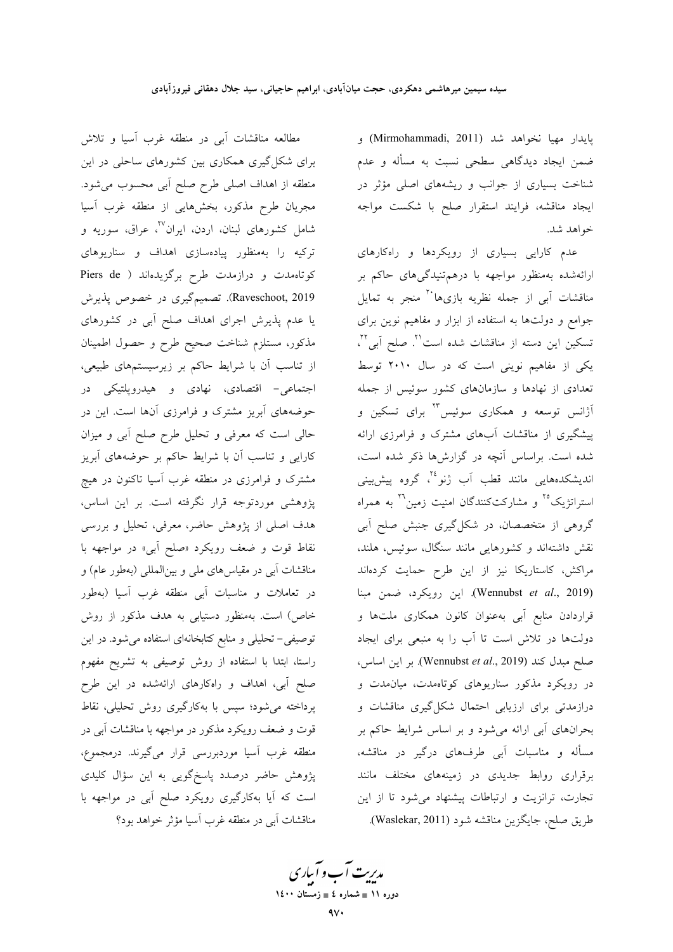پايدار مهيا نخواهد شد (Mirmohammadi, 2011) و ضمن ایجاد دیدگاهی سطحی نسبت به مسأله و عدم شناخت بسیاری از جوانب و ریشههای اصلی مؤثر در ایجاد مناقشه، فرایند استقرار صلح با شکست مواجه خواهد شد.

عدم کارایی بسیاری از رویکردها و راهکارهای ارائهشده بهمنظور مواجهه با درهم تنیدگیهای حاکم بر مناقشات اَبی از جمله نظریه بازیها<sup>۲۰</sup> منجر به تمایل جوامع و دولتها به استفاده از ابزار و مفاهیم نوین برای تسكين اين دسته از مناقشات شده است<sup>71</sup>. صلح آبي<sup>٢٢</sup>، یکی از مفاهیم نوینی است که در سال ۲۰۱۰ توسط تعدادی از نهادها و سازمانهای کشور سوئیس از جمله آژانس توسعه و همکاری سوئیس<sup>۲۳</sup> برای تسکین و پیشگیری از مناقشات آبهای مشترک و فرامرزی ارائه شده است. براساس آنچه در گزارشها ذکر شده است، اندیشکدههایی مانند قطب اَب ژنو ٔ٬ گروه پیشبینی استراتژیک°<sup>٬ و</sup> مشارکتکنندگان امنیت زمین<sup>۲٬</sup> به همراه گروهی از متخصصان، در شکل گیری جنبش صلح آبی نقش داشتهاند و کشورهایی مانند سنگال، سوئیس، هلند، مراکش، کاستاریکا نیز از این طرح حمایت کردهاند (Wennubst et al., 2019). این رویکرد، ضمن مبنا قراردادن منابع آبی بهعنوان کانون همکاری ملتها و دولتها در تلاش است تا آب را به منبعی برای ایجاد صلح مبدل كند (Wennubst et al., 2019). بر اين اساس، در رویکرد مذکور سناریوهای کوتاهمدت، میان مدت و درازمدتی برای ارزیابی احتمال شکلگیری مناقشات و بحرانهای آبی ارائه میشود و بر اساس شرایط حاکم بر مسأله و مناسبات آبي طرفهاي درگير در مناقشه، برقراری روابط جدیدی در زمینههای مختلف مانند تجارت، ترانزیت و ارتباطات پیشنهاد می شود تا از این طريق صلح، جايگزين مناقشه شود (Waslekar, 2011).

مطالعه مناقشات أبي در منطقه غرب أسيا و تلاش برای شکل گیری همکاری بین کشورهای ساحلی در این منطقه از اهداف اصلی طرح صلح آبی محسوب میشود. مجریان طرح مذکور، بخشهایی از منطقه غرب آسیا شامل کشورهای لبنان، اردن، ایران<sup>۲۷</sup>، عراق، سوریه و ترکیه را بهمنظور پیادهسازی اهداف و سناریوهای كوتاهمدت و درازمدت طرح برگزيدهاند ( Piers de Raveschoot, 2019). تصمیمگیری در خصوص پذیرش یا عدم پذیرش اجرای اهداف صلح آبی در کشورهای مذکور، مستلزم شناخت صحیح طرح و حصول اطمینان از تناسب آن با شرایط حاکم بر زیرسیستمهای طبیعی، اجتماعی- اقتصادی، نهادی و هیدروپلتیکی در حوضههای آبریز مشترک و فرامرزی آنها است. این در حالي است كه معرفي و تحليل طرح صلح آبي و ميزان کارایی و تناسب آن با شرایط حاکم بر حوضههای آبریز مشترک و فرامرزی در منطقه غرب آسیا تاکنون در هیچ پژوهشی موردتوجه قرار نگرفته است. بر این اساس، هدف اصلی از پژوهش حاضر، معرفی، تحلیل و بررسی نقاط قوت و ضعف رويكرد «صلح آبي» در مواجهه با مناقشات آبی در مقیاس های ملی و بینالمللی (بهطور عام) و در تعاملات و مناسبات آبی منطقه غرب آسیا (بهطور خاص) است. بهمنظور دستیابی به هدف مذکور از روش توصیفی- تحلیلی و منابع کتابخانهای استفاده میشود. در این راستا، ابتدا با استفاده از روش توصیفی به تشریح مفهوم صلح آبی، اهداف و راهکارهای ارائهشده در این طرح پرداخته میشود؛ سپس با بهکارگیری روش تحلیلی، نقاط قوت و ضعف رویکرد مذکور در مواجهه با مناقشات آبی در منطقه غرب آسیا موردبررسی قرار میگیرند. درمجموع، پژوهش حاضر درصدد پاسخگویی به این سؤال کلیدی است که آیا بهکارگیری رویکرد صلح آبی در مواجهه با مناقشات آبی در منطقه غرب آسیا مؤثر خواهد بود؟

مدیریت آب و آباری ۔<br>دورہ ۱۱ ∎ شمارہ ٤ ∎ زمستان ۱٤۰۰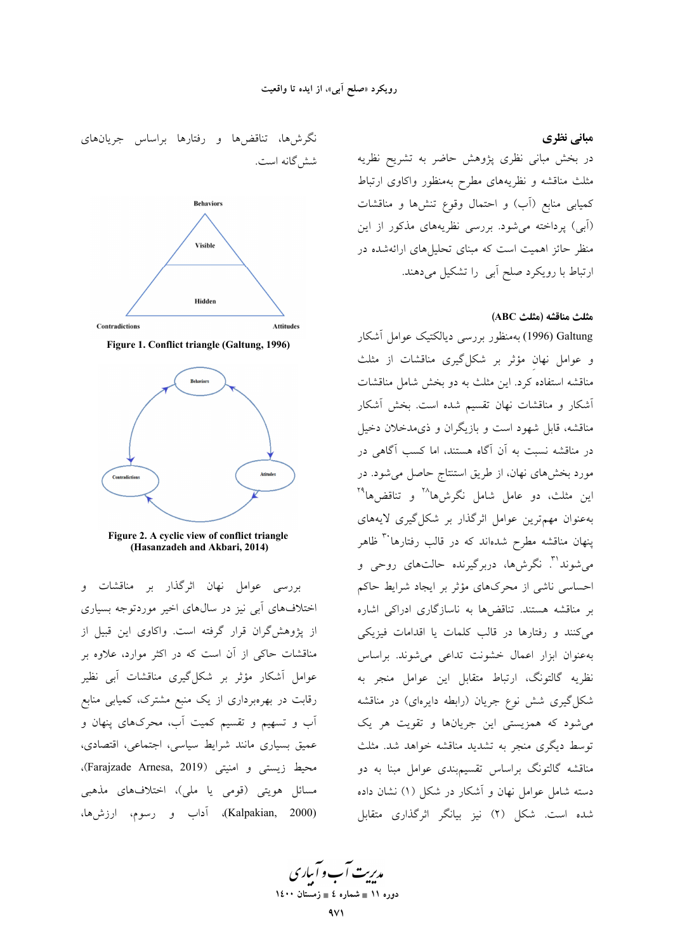نگرشها، تناقضها و رفتارها براساس جریانهای شش گانه است. **Behaviors** Visible Hidden Contradictions Attitudes





Figure 2. A cyclic view of conflict triangle (Hasanzadeh and Akbari, 2014)

بررسی عوامل نهان اثرگذار بر مناقشات و اختلافهای آبی نیز در سالهای اخیر موردتوجه بسیاری از پژوهشگران قرار گرفته است. واکاوی این قبیل از مناقشات حاکی از آن است که در اکثر موارد، علاوه بر عوامل آشکار مؤثر بر شکلگیری مناقشات آبی نظیر رقابت در بهرهبرداری از یک منبع مشترک، کمیابی منابع اَبِ و تسهیم و تقسیم کمیت اَب، محرکهای پنهان و عمیق بسیاری مانند شرایط سیاسی، اجتماعی، اقتصادی، محيط زيستي و امنيتي (Farajzade Arnesa, 2019)، مسائل هویتی (قومی یا ملی)، اختلافهای مذهبی (Kalpakian, 2000)، آداب و رسوم، ارزش۵ا،

در بخش مبانی نظری پژوهش حاضر به تشریح نظریه مثلث مناقشه و نظریههای مطرح بهمنظور واکاوی ارتباط كميابي منابع (أب) و احتمال وقوع تنشها و مناقشات (اَبِی) پرداخته میشود. بررسی نظریههای مذکور از این منظر حائز اهمیت است که مبنای تحلیلهای ارائهشده در ارتباط با رویکرد صلح آبی را تشکیل میدهند.

### مثلث مناقشه (مثلث ABC)

مبانی نظری

Galtung (1996) بهمنظور بررسی دیالکتیک عوامل آشکار و عوامل نهان مؤثر بر شکل گیری مناقشات از مثلث مناقشه استفاده کرد. این مثلث به دو بخش شامل مناقشات اًشکار و مناقشات نهان تقسیم شده است. بخش ا<mark>شکار</mark> مناقشه، قابل شهود است و بازیگران و ذیمدخلان دخیل در مناقشه نسبت به آن آگاه هستند، اما کسب آگاهی در مورد بخشهای نهان، از طریق استنتاج حاصل میشود. در این مثلث، دو عامل شامل نگرشها<sup>۲۸</sup> و تناقضها<sup>۲۹</sup> به عنوان مهم ترین عوامل اثرگذار بر شکل گیری لایههای پنهان مناقشه مطرح شدهاند که در قالب رفتارها<sup>۳۰</sup> ظاهر می شوند<sup>۳۱</sup>. نگرش ها، دربرگیرنده حالتهای روحی و احساسی ناشی از محرکهای مؤثر بر ایجاد شرایط حاکم بر مناقشه هستند. تناقضها به ناسازگاری ادراکی اشاره می کنند و رفتارها در قالب کلمات یا اقدامات فیزیکی بهعنوان ابزار اعمال خشونت تداعى مى شوند. براساس نظريه گالتونگ، ارتباط متقابل اين عوامل منجر به شکل گیری شش نوع جریان (رابطه دایرهای) در مناقشه می شود که همزیستی این جریانها و تقویت هر یک توسط دیگری منجر به تشدید مناقشه خواهد شد. مثلث مناقشه گالتونگ براساس تقسیمبندی عوامل مبنا به دو دسته شامل عوامل نهان و آشکار در شکل (۱) نشان داده شده است. شکل (۲) نیز بیانگر اثرگذاری متقابل

مدیریت آب و آباری دوره ۱۱ ∎ شماره ٤ ∎ زمستان ۱٤۰۰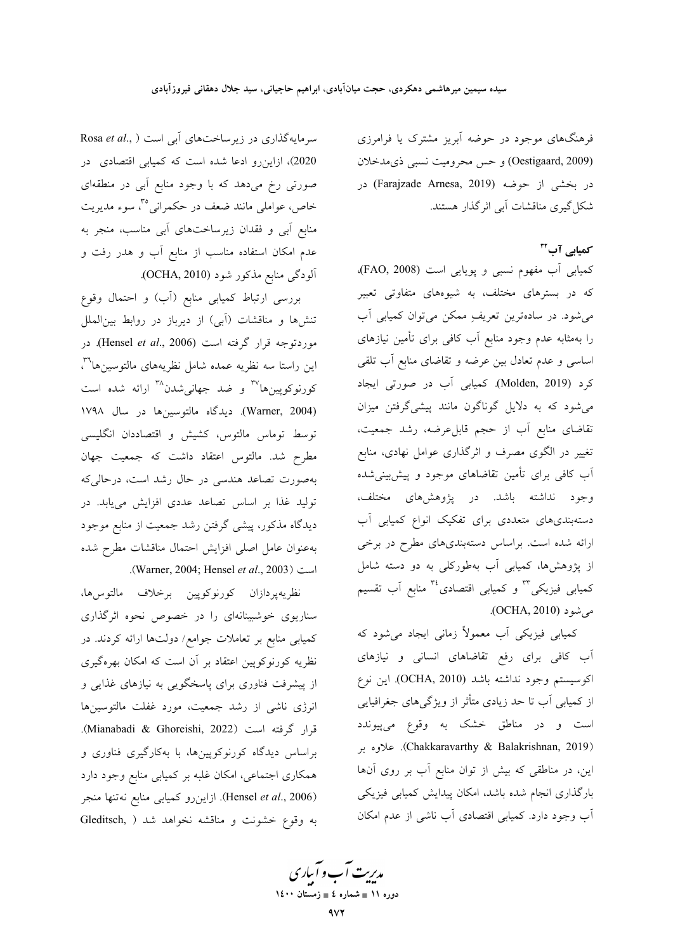فرهنگهای موجود در حوضه آبریز مشترک یا فرامرزی (Oestigaard, 2009) و حس محرومیت نسبی ذی مدخلان در بخشى از حوضه (Farajzade Arnesa, 2019) در شکل گیری مناقشات آبی اثر گذار هستند.

کمیایی آب™

کمیابی آب مفهوم نسبی و پویایی است (FAO, 2008). که در بسترهای مختلف، به شیوههای متفاوتی تعبیر می شود. در سادهترین تعریفِ ممکن می توان کمیابی آب را بهمثابه عدم وجود منابع أب كافي براي تأمين نيازهاي اساسی و عدم تعادل بین عرضه و تقاضای منابع آب تلقی كرد (Molden, 2019). كميابي أب در صورتي ايجاد میشود که به دلایل گوناگون مانند پیشیگرفتن میزان تقاضای منابع آب از حجم قابلءرضه، رشد جمعیت، تغییر در الگوی مصرف و اثرگذاری عوامل نهادی، منابع آب کافی برای تأمین تقاضاهای موجود و پیش بینیشده وجود نداشته باشد. در پژوهشهای مختلف، دستهبندیهای متعددی برای تفکیک انواع کمیابی آب ارائه شده است. براساس دستهبندیهای مطرح در برخی از پژوهشها، کمیابی آب بهطورکلی به دو دسته شامل کمیابی فیزیکی<sup>۳</sup> و کمیابی اقتصادی<sup>۳</sup> منابع آب تقسیم مي شود (OCHA, 2010).

کمیابی فیزیکی آب معمولاً زمانی ایجاد می شود که آب کافی برای رفع تقاضاهای انسانی و نیازهای اكوسيستم وجود نداشته باشد (OCHA, 2010). اين نوع از کمیابی اَب تا حد زیادی متأثر از ویژگیهای جغرافیایی است و در مناطق خشک به وقوع م<u>ی</u> $\mu$ بدد (Chakkaravarthy & Balakrishnan, 2019). علاوه بر این، در مناطقی که بیش از توان منابع آب بر روی آنها بارگذاری انجام شده باشد، امکان پیدایش کمیابی فیزیکی آب وجود دارد. کمیابی اقتصادی آب ناشی از عدم امکان

سرمایهگذاری در زیرساختهای آبی است ( Rosa et al., .<br>2020)، ازاین رو ادعا شده است که کمیابی اقتصادی در صورتی رخ میدهد که با وجود منابع اَبی در منطقهای خاص، عواملی مانند ضعف در حکمرانی°، سوء مدیریت منابع آبی و فقدان زیرساختهای آبی مناسب، منجر به عدم امکان استفاده مناسب از منابع آب و هدر رفت و آلودگی منابع مذکور شود (OCHA, 2010).

بررسی ارتباط کمیابی منابع (آب) و احتمال وقوع تنشها و مناقشات (آبی) از دیرباز در روابط بینالملل موردتوجه قرار گرفته است (Hensel et al., 2006). در این راستا سه نظریه عمده شامل نظریههای مالتوسینها<sup>۳</sup>"، کورنوکوپینها<sup>۳۷</sup> و ضد جهان<sub>ی</sub>شدن<sup>۳۸</sup> ارائه شده است (Warner, 2004). دیدگاه مالتوسینها در سال ۱۷۹۸ .<br>توسط توماس مالتوس، کشیش و اقتصاددان انگلیسی مطرح شد. مالتوس اعتقاد داشت که جمعیت جهان بهصورت تصاعد هندسی در حال رشد است، درحالی۵ه .<br>تولید غذا بر اساس تصاعد عددی افزایش مییابد. در دیدگاه مذکور، پیشی گرفتن رشد جمعیت از منابع موجود بهعنوان عامل اصلى افزايش احتمال مناقشات مطرح شده .(Warner, 2004; Hensel et al., 2003)

نظريهپردازان كورنوكوپين برخلاف مالتوسرها، سناریوی خوشبینانهای را در خصوص نحوه اثرگذاری کمیابی منابع بر تعاملات جوامع/ دولتها ارائه کردند. در نظریه کورنوکوپین اعتقاد بر آن است که امکان بهرهگیری از پیشرفت فناوری برای پاسخگویی به نیازهای غذایی و انرژی ناشی از رشد جمعیت، مورد غفلت مالتوسینها قرار گرفته است (Mianabadi & Ghoreishi, 2022). براساس دیدگاه کورنوکوپینها، با بهکارگیری فناوری و همکاری اجتماعی، امکان غلبه بر کمیابی منابع وجود دارد (Hensel et al., 2006). ازاین رو کمیابی منابع نه تنها منجر به وقوع خشونت و مناقشه نخواهد شد ( Gleditsch,

مدیریت آب و آبیاری<br>م دوره ۱۱ ∎ شماره ٤ ∎ زمستان ۱٤۰۰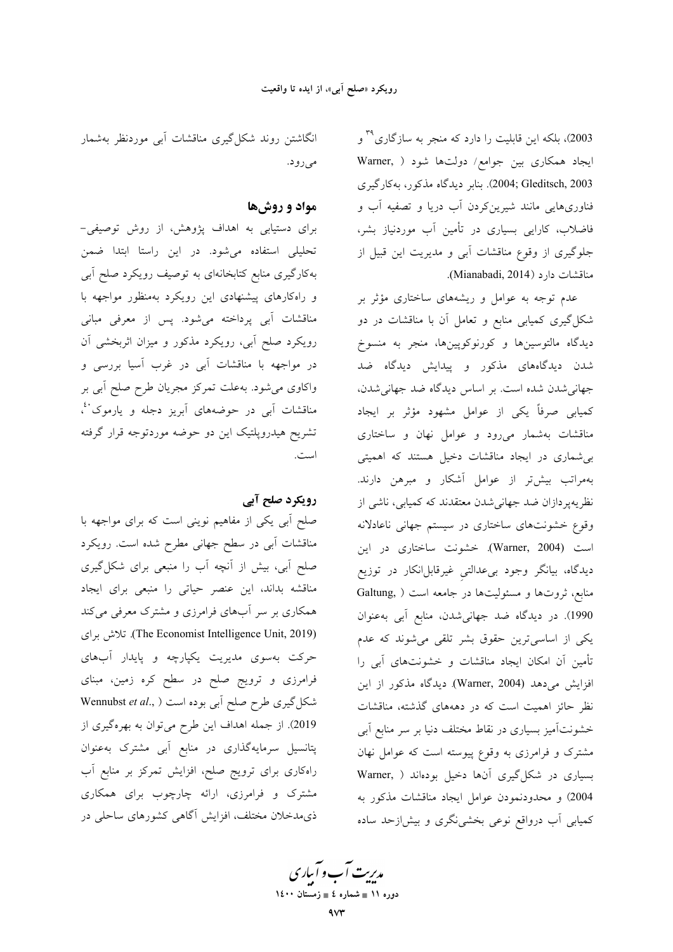2003)، بلکه این قابلیت را دارد که منجر به سازگاری<sup>۳۹</sup> و ایجاد همکاری بین جوامع/ دولتها شود ( .Warner 2003; Gleditsch, 2003). بنابر ديدگاه مذكور، بهكارگيري .<br>فناوریهایی مانند شیرینکردن آب دریا و تصفیه آب و فاضلاب، کارایی بسیاری در تأمین آب موردنیاز بشر، جلوگیری از وقوع مناقشات آبی و مدیریت این قبیل از مناقشات دارد (Mianabadi, 2014).

عدم توجه به عوامل و ریشههای ساختاری مؤثر بر شکل گیری کمیابی منابع و تعامل آن با مناقشات در دو ديدگاه مالتوسينها و كورنوكوپينها، منجر به منسوخ .<br>شدن دیدگاههای مذکور و پیدایش دیدگاه ضد جهاني شدن شده است. بر اساس ديدگاه ضد جهاني شدن، کمیابی صرفاً یکی از عوامل مشهود مؤثر بر ایجاد مناقشات بهشمار میرود و عوامل نهان و ساختاری بی شماری در ایجاد مناقشات دخیل هستند که اهمیتی بهمراتب بیشتر از عوامل آشکار و مبرهن دارند. نظریهپردازان ضد جهانی شدن معتقدند که کمیابی، ناشی از وقوع خشونتهای ساختاری در سیستم جهانی ناعادلانه است (Warner, 2004). خشونت ساختاری در این دیدگاه، بیانگر وجود بیءدالتی غیرقابل|نکار در توزیع منابع، ثروتها و مسئولیتها در جامعه است ( Galtung, 1990). در دیدگاه ضد جهانی شدن، منابع آبی به عنوان یکی از اساسیترین حقوق بشر تلقی می شوند که عدم تأمین آن امکان ایجاد مناقشات و خشونتهای آبی را افزایش می دهد (Warner, 2004). دیدگاه مذکور از این نظر حائز اهمیت است که در دهههای گذشته، مناقشات خشونتآمیز بسیاری در نقاط مختلف دنیا بر سر منابع آبی مشترک و فرامرزی به وقوع پیوسته است که عوامل نهان بسیاری در شکل گیری آنها دخیل بودهاند ( Warner, 2004) و محدودنمودن عوامل ايجاد مناقشات مذكور به کمیابی آب درواقع نوعی بخشی نگری و بیش|زحد ساده

انگاشتن روند شکل گیری مناقشات آبی موردنظر بهشمار مي رود.

### مواد و روشها

برای دستیابی به اهداف پژوهش، از روش توصیفی-تحلیلی استفاده میشود. در این راستا ابتدا ضمن بهکارگیری منابع کتابخانهای به توصیف رویکرد صلح آبی و راهکارهای پیشنهادی این رویکرد بهمنظور مواجهه با مناقشات آب<sub>ی پر</sub>داخته میشود. پس از معرفی مبانی رویکرد صلح آبی، رویکرد مذکور و میزان اثربخشی آن در مواجهه با مناقشات آبی در غرب آسیا بررسی و واکاوی میشود. بهعلت تمرکز مجریان طرح صلح أبی بر مناقشات اَبی در حوضههای اَبریز دجله و یارموک<sup>۰،</sup>، تشریح هیدروپلتیک این دو حوضه موردتوجه قرار گرفته است.

### رویکرد صلح آبی

صلح اّبی یکی از مفاهیم نوینی است که برای مواجهه با مناقشات آبی در سطح جهانی مطرح شده است. رویکرد صلح آبی، بیش از آنچه آب را منبعی برای شکل گیری مناقشه بداند، این عنصر حیاتی را منبعی برای ایجاد همکاری بر سر آبهای فرامرزی و مشترک معرفی میکند (The Economist Intelligence Unit, 2019). تلاش براى حرکت بهسوی مدیریت یکپارچه و پایدار آبهای فرامرزی و ترویج صلح در سطح کره زمین، مبنای تشکل گیری طرح صلح آبی بوده است ( Wennubst et al., 2019). از جمله اهداف این طرح میتوان به بهرهگیری از پتانسیل سرمایهگذاری در منابع آبی مشترک بهعنوان راهکاری برای ترویج صلح، افزایش تمرکز بر منابع آب مشترک و فرامرزی، ارائه چارچوب برای همکاری ذی.مدخلان مختلف، افزایش آگاهی کشورهای ساحلی در

مدیریت آب و آباری دوره ۱۱ ∎ شماره ٤ ∎ زمستان ۱٤۰۰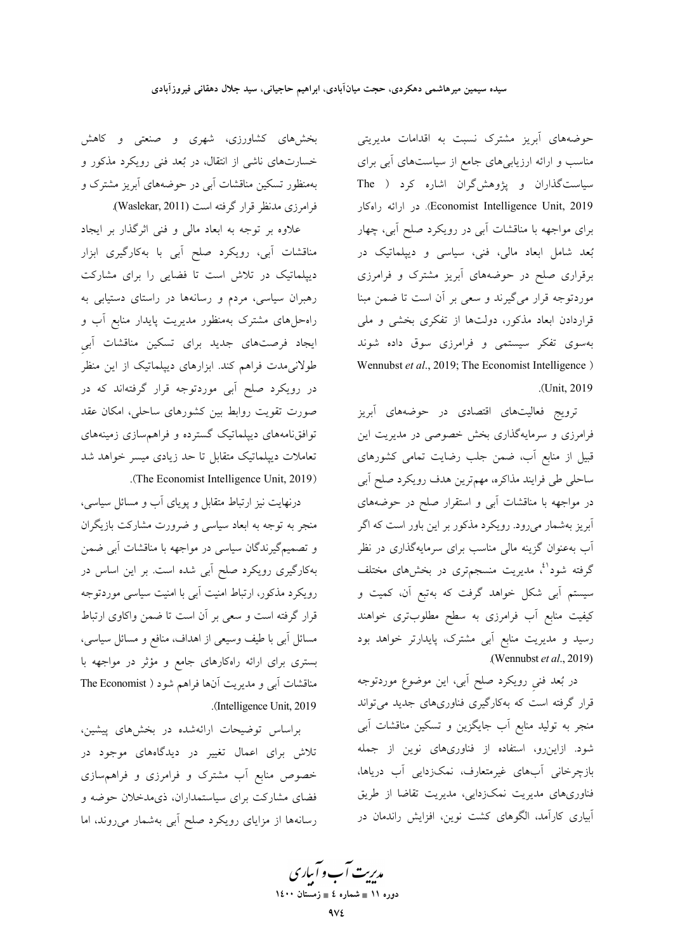حوضههای آبریز مشترک نسبت به اقدامات مدیریتی مناسب و ارائه ارزیابیهای جامع از سیاستهای آبی برای سیاستگذاران و پژوهش گران اشاره کرد ( The Economist Intelligence Unit, 2019). در ارائه راهكار برای مواجهه با مناقشات آبی در رویکرد صلح آبی، چهار بُعد شامل ابعاد مالی، فنی، سیاسی و دیپلماتیک در برقراری صلح در حوضههای آبریز مشترک و فرامرزی موردتوجه قرار میگیرند و سعی بر آن است تا ضمن مبنا قراردادن ابعاد مذکور، دولتها از تفکری بخشی و ملی بهسوی تفکر سیستمی و فرامرزی سوق داده شوند Wennubst et al., 2019; The Economist Intelligence) .(Unit, 2019).

ترویج فعالیتهای اقتصادی در حوضههای آبریز فرامرزی و سرمایهگذاری بخش خصوصی در مدیریت این قبیل از منابع آب، ضمن جلب رضایت تمامی کشورهای .<br>ساحلی طی فرایند مذاکرہ، مهمترین هدف رویکرد صلح آبی در مواجهه با مناقشات آبی و استقرار صلح در حوضههای آبریز بهشمار میرود. رویکرد مذکور بر این باور است که اگر آب بهعنوان گزینه مال<sub>ی</sub> مناسب برای سرمایهگذاری در نظر گرفته شود<sup>ائ</sup>، مدیریت منسجمتری در بخشهای مختلف سیستم اّبی شکل خواهد گرفت که بهتبع اّن، کمیت و کیفیت منابع آب فرامرزی به سطح مطلوبتری خواهند رسید و مدیریت منابع آبی مشترک، پایدارتر خواهد بود (Wennubst  $et al., 2019$ )

در بُعد فنی رویکرد صلح آبی، این موضوع موردتوجه قرار گرفته است که بهکارگیری فناوریهای جدید میتواند منجر به تولید منابع آب جایگزین و تسکین مناقشات آبی شود. ازاینرو، استفاده از فناوریهای نوین از جمله بازچرخانی آبهای غیرمتعارف، نمکزدایی آب دریاها، فناوریهای مدیریت نمکزدایی، مدیریت تقاضا از طریق آبیاری کارآمد، الگوهای کشت نوین، افزایش راندمان در

بخشهای کشاورزی، شهری و صنعتی و کاهش خسارتهای ناشی از انتقال، در بُعد فنی رویکرد مذکور و .<br>بهمنظور تسکین مناقشات اَبی در حوضههای اَبریز مشترک و فرامرزي مدنظر قرار گرفته است (Waslekar, 2011).

علاوه بر توجه به ابعاد مالی و فنی اثرگذار بر ایجاد مناقشات آبی، رویکرد صلح آبی با بهکارگیری ابزار دیپلماتیک در تلاش است تا فضایی را برای مشارکت رهبران سیاسی، مردم و رسانهها در راستای دستیابی به راهحلهای مشترک بهمنظور مدیریت پایدار منابع آب و ایجاد فرصتهای جدید برای تسکین مناقشات آبی طولانیمدت فراهم کند. ابزارهای دیپلماتیک از این منظر در رویکرد صلح آبی موردتوجه قرار گرفتهاند که در صورت تقويت روابط بين كشورهاي ساحلي، امكان عقد .<br>توافقنامههای دیپلماتیک گسترده و فراهمسازی زمینههای تعاملات ديپلماتيک متقابل تا حد زيادى ميسر خواهد شد .(The Economist Intelligence Unit, 2019)

درنهایت نیز ارتباط متقابل و پویای آب و مسائل سیاسی، منجر به توجه به ابعاد سیاسی و ضرورت مشارکت بازیگران و تصمیمگیرندگان سیاسی در مواجهه با مناقشات آبی ضمن بهکارگیری رویکرد صلح آبی شده است. بر این اساس در رویکرد مذکور، ارتباط امنیت آبی با امنیت سیاسی موردتوجه قرار گرفته است و سعی بر آن است تا ضمن واکاوی ارتباط مسائل آبی با طیف وسیعی از اهداف، منافع و مسائل سیاسی، بستری برای ارائه راهکارهای جامع و مؤثر در مواجهه با مناقشات آبی و مدیریت آنها فراهم شود ( The Economist (Intelligence Unit, 2019).

براساس توضیحات ارائهشده در بخشهای پیشین، .<br>تلاش برای اعمال تغییر در دیدگاههای موجود در خصوص منابع آب مشترک و فرامرزی و فراهم سازی فضای مشارکت برای سیاستمداران، ذیمدخلان حوضه و رسانهها از مزایای رویکرد صلح آبی بهشمار میروند، اما

مدبریت آب و آباری دوره ۱۱ ∎ شماره ٤ ∎ زمستان ۱٤۰۰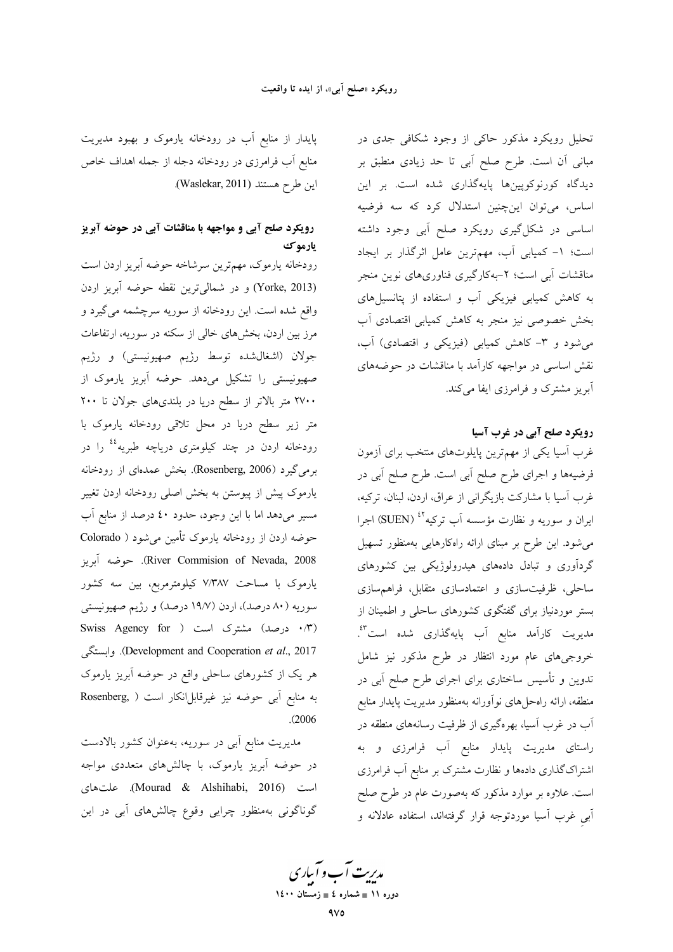تحلیل رویکرد مذکور حاکی از وجود شکافی جدی در مبانی آن است. طرح صلح آبی تا حد زیادی منطبق بر دیدگاه کورنوکوپینها پایهگذاری شده است. بر این اساس، می توان اینچنین استدلال کرد که سه فرضیه اساسی در شکل گیری رویکرد صلح آبی وجود داشته است؛ ١- كميابي آب، مهم ترين عامل اثرگذار بر ايجاد مناقشات آبی است؛ ۲–بهکارگیری فناوریهای نوین منجر به کاهش کمیابی فیزیکی آب و استفاده از پتانسیلهای بخش خصوصی نیز منجر به کاهش کمیابی اقتصادی آب میشود و ۳- کاهش کمیابی (فیزیکی و اقتصادی) آب، نقش اساسی در مواجهه کارآمد با مناقشات در حوضههای آبریز مشترک و فرامرزی ایفا میکند.

رویکرد صلح آبی در غرب آسیا

غرب اسیا یکی از مهمترین پایلوتهای منتخب برای ازمون فرضیهها و اجرای طرح صلح أبی است. طرح صلح أبی در غرب آسیا با مشارکت بازیگرانی از عراق، اردن، لبنان، ترکیه، ایران و سوریه و نظارت مؤسسه آب ترکیه<sup>٤٢ (</sup>SUEN) اجرا میشود. این طرح بر مبنای ارائه راهکارهایی بهمنظور تسهیل گردآوری و تبادل دادههای هیدرولوژیکی بین کشورهای ساحلی، ظرفیتسازی و اعتمادسازی متقابل، فراهمسازی بستر موردنیاز برای گفتگوی کشورهای ساحلی و اطمینان از مدیریت کارآمد منابع آب پایهگذاری شده است<sup>8</sup>\*. خروجیهای عام مورد انتظار در طرح مذکور نیز شامل تدوین و تأسیس ساختاری برای اجرای طرح صلح اَبی در منطقه، ارائه راهحلهای نوآورانه بهمنظور مدیریت پایدار منابع آب در غرب آسیا، بهرهگیری از ظرفیت رسانههای منطقه در راستای مدیریت پایدار منابع آب فرامرزی و به اشتراکگذاری دادهها و نظارت مشترک بر منابع آب فرامرزی است. علاوه بر موارد مذکور که بهصورت عام در طرح صلح أبي غرب أسيا موردتوجه قرار گرفتهاند، استفاده عادلانه و

پایدار از منابع آب در رودخانه یارموک و بهبود مدیریت منابع أب فرامرزي در رودخانه دجله از جمله اهداف خاص اين طرح هستند (Waslekar, 2011).

# رویکرد صلح آبی و مواجهه با مناقشات آبی در حوضه آبریز يارموك

رودخانه يارموك، مهمترين سرشاخه حوضه أبريز اردن است (Yorke, 2013) و در شمالیترین نقطه حوضه آبریز اردن واقع شده است. این رودخانه از سوریه سرچشمه میگیرد و مرز بین اردن، بخشهای خالی از سکنه در سوریه، ارتفاعات جولان (اشغالشده توسط رژیم صهیونیستی) و رژیم صهیونیستی را تشکیل میدهد. حوضه آبریز یارموک از ۲۷۰۰ متر بالاتر از سطح دریا در بلندیهای جولان تا ۲۰۰ متر زیر سطح دریا در محل تلاقی رودخانه یارموک با رودخانه اردن در چند کیلومتری دریاچه طبریه<sup>،،</sup> را در برمی گیرد (Rosenberg, 2006). بخش عمدهای از رودخانه یارموک پیش از پیوستن به بخش اصلی رودخانه اردن تغییر مسیر میدهد اما با این وجود، حدود ٤٠ درصد از منابع آب حوضه اردن از رودخانه یارموک تأمین می شود ( Colorado River Commision of Nevada, 2008). حوضه آبريز یارموک با مساحت ۷٬۳۸۷ کیلومترمربع، بین سه کشور سوریه (۸۰ درصد)، اردن (۱۹/۷ درصد) و رژیم صهیونیستی (۰/۳ درصد) مشترک است ( Swiss Agency for Development and Cooperation et al., 2017). وابستگی هر یک از کشورهای ساحلی واقع در حوضه آبریز یارموک به منابع آبی حوضه نیز غیرقابلانکار است ( Rosenberg,  $(2006)$ 

مدیریت منابع آبی در سوریه، بهعنوان کشور بالادست در حوضه آبریز یارموک، با چالشهای متعددی مواجه است (Mourad & Alshihabi, 2016). علتهاى گوناگونی بهمنظور چرایی وقوع چالشهای آبی در این

مدبریت آب و آباری دوره ۱۱ ∎ شماره ٤ ∎ زمستان ۱٤۰۰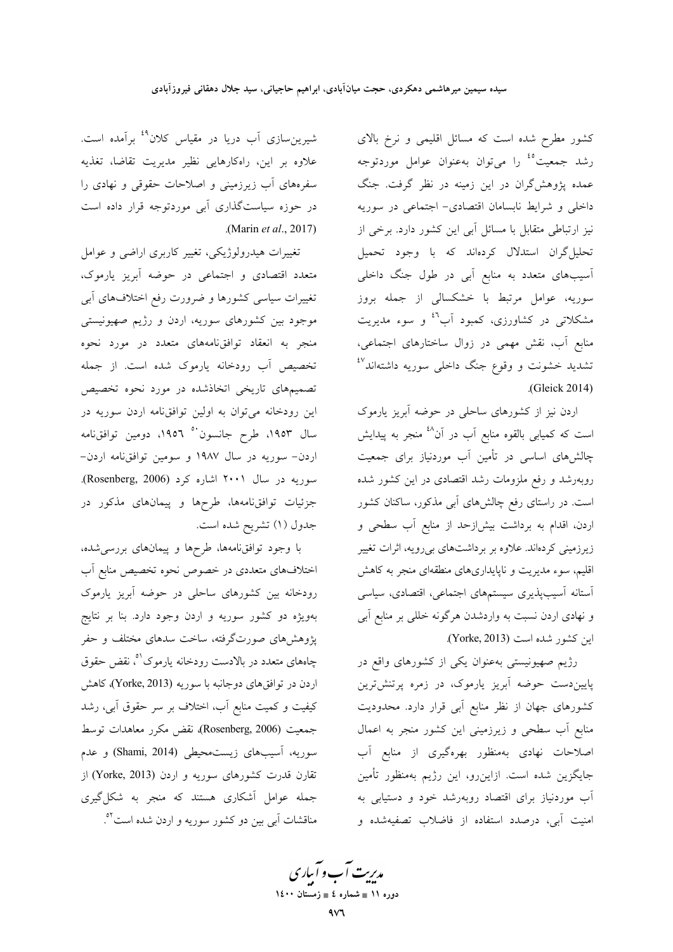کشور مطرح شده است که مسائل اقلیمی و نرخ بالای رشد جمعیت<sup>ه،</sup> را میٍتوان بهعنوان عوامل موردتوجه عمده پژوهش گران در این زمینه در نظر گرفت. جنگ داخلی و شرایط نابسامان اقتصادی– اجتماعی در سوریه نیز ارتباطی متقابل با مسائل آبی این کشور دارد. برخی از تحلیل گران استدلال کردهاند که با وجود تحمیل آسیبهای متعدد به منابع آبی در طول جنگ داخلی سوریه، عوامل مرتبط با خشکسال<sub>ی</sub> از جمله بروز مشکلاتی در کشاورزی، کمبود اَب<sup>31</sup> و سوء مدیریت منابع آب، نقش مهمی در زوال ساختارهای اجتماعی، تشدید خشونت و وقوع جنگ داخل<sub>ی</sub> سوریه داشتهاند<sup>8۷</sup> .(Gleick 2014)

اردن نیز از کشورهای ساحلی در حوضه آبریز یارموک است که کمیابی بالقوه منابع آب در آن<sup>۱۸</sup> منجر به پیدایش چالشهای اساسی در تأمین آب موردنیاز برای جمعیت روبهرشد و رفع ملزومات رشد اقتصادی در این کشور شده است. در راستای رفع چالشهای آبی مذکور، ساکنان کشور اردن، اقدام به برداشت بیش(زحد از منابع آب سطحی و زیرزمینی کردهاند. علاوه بر برداشتهای بی رویه، اثرات تغییر اقلیم، سوء مدیریت و ناپایداریهای منطقهای منجر به کاهش استانه آسیبپذیری سیستمهای اجتماعی، اقتصادی، سیاسی و نهادی اردن نسبت به واردشدن هرگونه خللی بر منابع آبی این کشور شده است (Yorke, 2013).

رژیم صهیونیستی بهعنوان یکی از کشورهای واقع در پاییندست حوضه آبریز یارموک، در زمره پرتنشترین کشورهای جهان از نظر منابع آبی قرار دارد. محدودیت منابع آب سطحی و زیرزمینی این کشور منجر به اعمال اصلاحات نهادی بهمنظور بهرهگیری از منابع آب جایگزین شده است. ازاین٫و، این رژیم بهمنظور تأمین آب موردنیاز برای اقتصاد روبهرشد خود و دستیابی به امنیت آبی، درصدد استفاده از فاضلاب تصفیهشده و

شیرینِسازی آب دریا در مقیاس کلان<sup>4۹</sup> برآمده است. علاوه بر این، راهکارهایی نظیر مدیریت تقاضا، تغذیه سفرههای آب زیرزمینی و اصلاحات حقوقی و نهادی را در حوزه سیاستگذاری آبی موردتوجه قرار داده است (Marin et al., 2017).

تغییرات هیدرولوژیکی، تغییر کاربری اراضی و عوامل متعدد اقتصادی و اجتماعی در حوضه آبریز یارموک، تغییرات سیاسی کشورها و ضرورت رفع اختلافهای آبی موجود بین کشورهای سوریه، اردن و رژیم صهیونیستی منجر به انعقاد توافق،امههای متعدد در مورد نحوه تخصیص آب رودخانه پارموک شده است. از جمله تصمیمهای تاریخی اتخاذشده در مورد نحوه تخصیص این رودخانه میتوان به اولین توافق نامه اردن سوریه در سال ۱۹۵۳، طرح جانسون<sup>۰۰</sup> ۱۹۵۲، دومین توافقiامه اردن- سوریه در سال ۱۹۸۷ و سومین توافقنامه اردن-سوریه در سال ۲۰۰۱ اشاره کرد (Rosenberg, 2006). جزئیات توافقنامهها، طرحها و پیمانهای مذکور در جدول (١) تشريح شده است.

با وجود توافقنامهها، طرحها و پیمانهای بررسی شده، اختلافهای متعددی در خصوص نحوه تخصیص منابع آب رودخانه بین کشورهای ساحلی در حوضه آبریز یارموک بهویژه دو کشور سوریه و اردن وجود دارد. بنا بر نتایج پژوهشهای صورتگرفته، ساخت سدهای مختلف و حفر چاههای متعدد در بالادست رودخانه یارموک<sup>۹</sup>، نقض حقوق اردن در توافقهای دوجانبه با سوریه (Yorke, 2013)، کاهش کیفیت و کمیت منابع آب، اختلاف بر سر حقوق آبی، رشد جمعیت (Rosenberg, 2006)، نقض مکرر معاهدات توسط سوريه، آسيبهاي زيست محيطي (Shami, 2014) و عدم تقارن قدرت کشورهای سوریه و اردن (Yorke, 2013) از جمله عوامل آشکاری هستند که منجر به شکل گیری مناقشات آبی بین دو کشور سوریه و اردن شده است<sup>01</sup>.

مدبریت آب و آباری دوره ۱۱ ∎ شماره ٤ ∎ زمستان ۱٤۰۰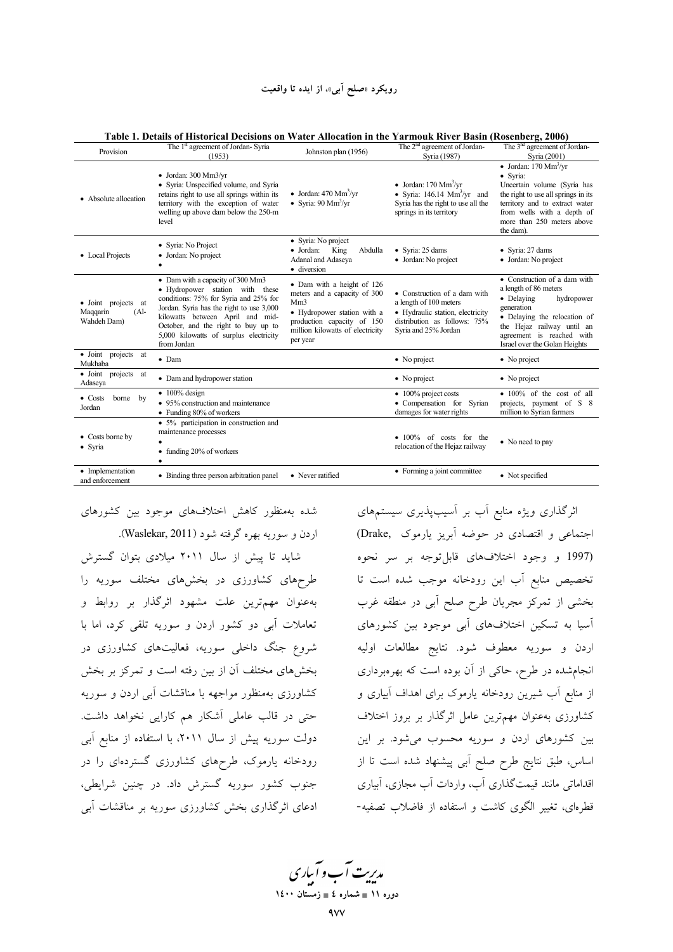| Provision                                                           | The 1 <sup>st</sup> agreement of Jordan-Syria<br>(1953)                                                                                                                                                                                                                                      | Johnston plan (1956)                                                                                                                                                                       | The 2 <sup>nd</sup> agreement of Jordan-<br>Syria (1987)                                                                                                 | The 3 <sup>nd</sup> agreement of Jordan-<br>Syria (2001)                                                                                                                                                                            |
|---------------------------------------------------------------------|----------------------------------------------------------------------------------------------------------------------------------------------------------------------------------------------------------------------------------------------------------------------------------------------|--------------------------------------------------------------------------------------------------------------------------------------------------------------------------------------------|----------------------------------------------------------------------------------------------------------------------------------------------------------|-------------------------------------------------------------------------------------------------------------------------------------------------------------------------------------------------------------------------------------|
| • Absolute allocation                                               | $\bullet$ Jordan: 300 Mm3/yr<br>• Syria: Unspecified volume, and Syria<br>retains right to use all springs within its<br>territory with the exception of water<br>welling up above dam below the 250-m<br>level                                                                              | • Jordan: $470 \text{ Mm}^3/\text{yr}$<br>• Syria: $90 \text{ Mm}^3/\text{yr}$                                                                                                             | • Jordan: $170 \text{ Mm}^3/\text{yr}$<br>• Syria: $146.14 \text{ Mm}^3/\text{yr}$ and<br>Syria has the right to use all the<br>springs in its territory | • Jordan: $170 \text{ Mm}^3/\text{yr}$<br>· Syria:<br>Uncertain volume (Syria has<br>the right to use all springs in its<br>territory and to extract water<br>from wells with a depth of<br>more than 250 meters above<br>the dam). |
| • Local Projects                                                    | • Syria: No Project<br>• Jordan: No project                                                                                                                                                                                                                                                  | • Syria: No project<br>Abdulla<br>• Jordan:<br>King<br>Adanal and Adaseya<br>· diversion                                                                                                   | $\bullet$ Syria: 25 dams<br>• Jordan: No project                                                                                                         | • Syria: 27 dams<br>• Jordan: No project                                                                                                                                                                                            |
| • Joint projects at<br>Maqqarin<br>(A <sup>1</sup> )<br>Wahdeh Dam) | • Dam with a capacity of 300 Mm3<br>• Hydropower station with these<br>conditions: 75% for Syria and 25% for<br>Jordan. Syria has the right to use 3,000<br>kilowatts between April and mid-<br>October, and the right to buy up to<br>5,000 kilowatts of surplus electricity<br>from Jordan | • Dam with a height of 126<br>meters and a capacity of 300<br>Mm <sub>3</sub><br>• Hydropower station with a<br>production capacity of 150<br>million kilowatts of electricity<br>per year | • Construction of a dam with<br>a length of 100 meters<br>· Hydraulic station, electricity<br>distribution as follows: 75%<br>Syria and 25% Jordan       | • Construction of a dam with<br>a length of 86 meters<br>• Delaying<br>hydropower<br>generation<br>• Delaying the relocation of<br>the Hejaz railway until an<br>agreement is reached with<br>Israel over the Golan Heights         |
| · Joint projects at<br>Mukhaba                                      | $\bullet$ Dam                                                                                                                                                                                                                                                                                |                                                                                                                                                                                            | • No project                                                                                                                                             | • No project                                                                                                                                                                                                                        |
| · Joint projects at<br>Adaseya                                      | • Dam and hydropower station                                                                                                                                                                                                                                                                 |                                                                                                                                                                                            | $\bullet$ No project                                                                                                                                     | • No project                                                                                                                                                                                                                        |
| $\bullet$ Costs<br>borne<br>by<br>Jordan                            | $\bullet$ 100% design<br>• 95% construction and maintenance<br>• Funding 80% of workers                                                                                                                                                                                                      |                                                                                                                                                                                            | $\bullet$ 100% project costs<br>· Compensation for Syrian<br>damages for water rights                                                                    | • 100% of the cost of all<br>projects, payment of \$ 8<br>million to Syrian farmers                                                                                                                                                 |
| • Costs borne by<br>· Syria                                         | • 5% participation in construction and<br>maintenance processes<br>funding 20% of workers<br>٠                                                                                                                                                                                               |                                                                                                                                                                                            | • 100% of costs for the<br>relocation of the Hejaz railway                                                                                               | • No need to pay                                                                                                                                                                                                                    |
| • Implementation<br>and enforcement                                 | • Binding three person arbitration panel                                                                                                                                                                                                                                                     | • Never ratified                                                                                                                                                                           | • Forming a joint committee                                                                                                                              | • Not specified                                                                                                                                                                                                                     |

**Table 1. Details of Historical Decisions on Water Allocation in the Yarmouk River Basin (Rosenberg, 2006)** 

شده بهمنظور كاهش اختلافهاى موجود بين كشورهاى اردن و سوریه بهره گرفته شود (Waslekar, 2011).

شاید تا پیش از سال ۲۰۱۱ میلادی بتوان گسترش طرحهای کشاورزی در بخشهای مختلف سوریه را بهعنوان مهم,ترین علت مشهود اثرگذار بر روابط و تعاملات ابی دو کشور اردن و سوریه تلقی کرد، اما با شروع جنگ داخلی سوریه، فعالیتهای کشاورزی در بخشهای مختلف آن از بین رفته است و تمرکز بر بخش کشاورزی بهمنظور مواجهه با مناقشات اب<sub>ی</sub> اردن و سوریه حتی در قالب عاملی اشکار هم کارایی نخواهد داشت. دولت سوریه پیش از سال ۲۰۱۱، با استفاده از منابع ابی رودخانه یارموک، طرحهای کشاورزی گستردمای را در جنوب کشور سوریه گسترش داد. در چنین شرایطی، ادعای اثرگذاری بخش کشاورزی سوریه بر مناقشات ابی

'ثرگذاری ویژه منابع اب بر اسیبپذیری سیستمهای جتماعی و اقتصادی در حوضه آبریز یارموک ,Drake) .<br>(1997 و وجود اختلافهای قابلتوجه بر سر نحوه نخصیص منابع اب این رودخانه موجب شده است تا خشی از تمرکز مجریان طرح صلح ابی در منطقه غرب آسیا به تسکین اختلافهای آب<sub>ی</sub> موجود بین کشورهای ردن و سوريه معطوف شود. نتايج مطالعات اوليه انجام شده در طرح، حاکی از آن بوده است که بهرهبرداری ز منابع اب شیرین رودخانه یارموک برای اهداف ابیاری و کشاورزی بهعنوان مهم;ترین عامل اثرگذار بر بروز اختلاف یین کشورهای اردن و سوریه محسوب میشود. بر این ساس، طبق نتایج طرح صلح ابی پیشنهاد شده است تا از اقداماتی مانند قیمتگذاری آب، واردات آب مجازی، آبیاری قطرهای، تغییر الگوی کاشت و استفاده از فاضلاب تصفیه-

مد*ریت آ*ب و آباری

**11 × 11 می** شماره ٤ ∎ زمستان ۱٤۰۰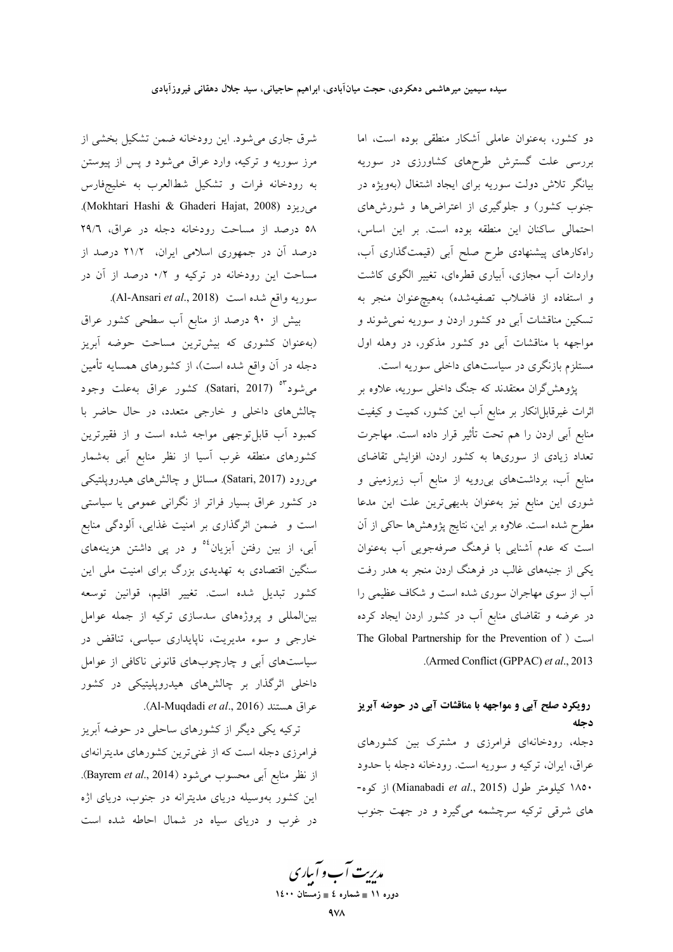دو کشور، بهعنوان عاملی آشکار منطقی بوده است، اما بررسی علت گسترش طرحهای کشاورزی در سوریه بیانگر تلاش دولت سوریه برای ایجاد اشتغال (بهویژه در جنوب کشور) و جلوگیری از اعتراضها و شورشهای احتمالی ساکنان این منطقه بوده است. بر این اساس، راهکارهای پیشنهادی طرح صلح أبی (قیمتگذاری أب، واردات اَب مجازی، اَبیاری قطرهای، تغییر الگوی کاشت و استفاده از فاضلاب تصفیهشده) بههیچهخنوان منجر به تسکین مناقشات آب*ی* دو کشور اردن و سوریه نم*ی*شوند و مواجهه با مناقشات آبی دو کشور مذکور، در وهله اول مستلزم بازنگری در سیاستهای داخلی سوریه است.

پژوهش گران معتقدند که جنگ داخلی سوریه، علاوه بر اثرات غیرقابل|نکار بر منابع آب این کشور، کمیت و کیفیت منابع اّبی اردن را هم تحت تأثیر قرار داده است. مهاجرت تعداد زیادی از سوریها به کشور اردن، افزایش تقاضای منابع آب، برداشتهای بیرویه از منابع آب زیرزمینی و شوری این منابع نیز بهعنوان بدیهیترین علت این مدعا مطرح شده است. علاوه بر این، نتایج پژوهشها حاکی از آن است که عدم آشنایی با فرهنگ صرفهجویی آب بهعنوان یکی از جنبههای غالب در فرهنگ اردن منجر به هدر رفت آب از سوی مهاجران سوری شده است و شکاف عظیمی را در عرضه و تقاضای منابع آب در کشور اردن ایجاد کرده The Global Partnership for the Prevention of ) است .(Armed Conflict (GPPAC) et al., 2013

# رویکرد صلح آبی و مواجهه با مناقشات آبی در حوضه آبریز دجله

دجله، رودخانهای فرامرزی و مشترک بین کشورهای عراق، ایران، ترکیه و سوریه است. رودخانه دجله با حدود ۱۸۵۰ كيلومتر طول (Mianabadi et al., 2015) از كوه-های شرقی ترکیه سرچشمه میگیرد و در جهت جنوب

شرق جاری میشود. این رودخانه ضمن تشکیل بخشی از مرز سوریه و ترکیه، وارد عراق میشود و پس از پیوستن به رودخانه فرات و تشکیل شطالعرب به خلیجفارس می ریز د (Mokhtari Hashi & Ghaderi Hajat, 2008). ٥٨ درصد از مساحت رودخانه دجله در عراق، ٢٩/٦ درصد آن در جمهوری اسلامی ایران، ۲۱/۲ درصد از مساحت این رودخانه در ترکیه و ۰/۲ درصد از آن در سوريه واقع شده است (Al-Ansari et al., 2018).

بیش از ۹۰ درصد از منابع آب سطحی کشور عراق (بهعنوان کشوری که بیشترین مساحت حوضه آبریز دجله در آن واقع شده است)، از کشورهای همسایه تأمین می شود "° (Satari, 2017). کشور عراق بهعلت وجود چالشهای داخلی و خارجی متعدد، در حال حاضر با کمبود آب قابل توجهی مواجه شده است و از فقیرترین کشورهای منطقه غرب آسیا از نظر منابع آبی بهشمار میرود (Satari, 2017). مسائل و چالشهای هیدروپلتیکی در کشور عراق بسیار فراتر از نگرانی عمومی یا سیاستی است و ضمن اثرگذاری بر امنیت غذایی، آلودگی منابع آبی، از بین رفتن آبزیان<sup>06</sup> و در پی داشتن هزینههای سنگین اقتصادی به تهدیدی بزرگ برای امنیت ملی این كشور تبديل شده است. تغيير اقليم، قوانين توسعه بینالمللی و پروژههای سدسازی ترکیه از جمله عوامل خارجی و سوء مدیریت، ناپایداری سیاسی، تناقض در سیاستهای آبی و چارچوبهای قانونی ناکافی از عوامل داخلی اثرگذار بر چالشهای هیدروپلیتیکی در کشور عراق هستند (Al-Muqdadi et al., 2016).

ترکیه یکی دیگر از کشورهای ساحلی در حوضه آبریز فرامرزی دجله است که از غنی ترین کشورهای مدیترانهای از نظر منابع آبی محسوب میشود (Bayrem et al., 2014). این کشور بهوسیله دریای مدیترانه در جنوب، دریای اژه در غرب و دریای سیاه در شمال احاطه شده است

مدبریت آب و آباری دوره ۱۱ ∎ شماره ٤ ∎ زمستان ۱٤۰۰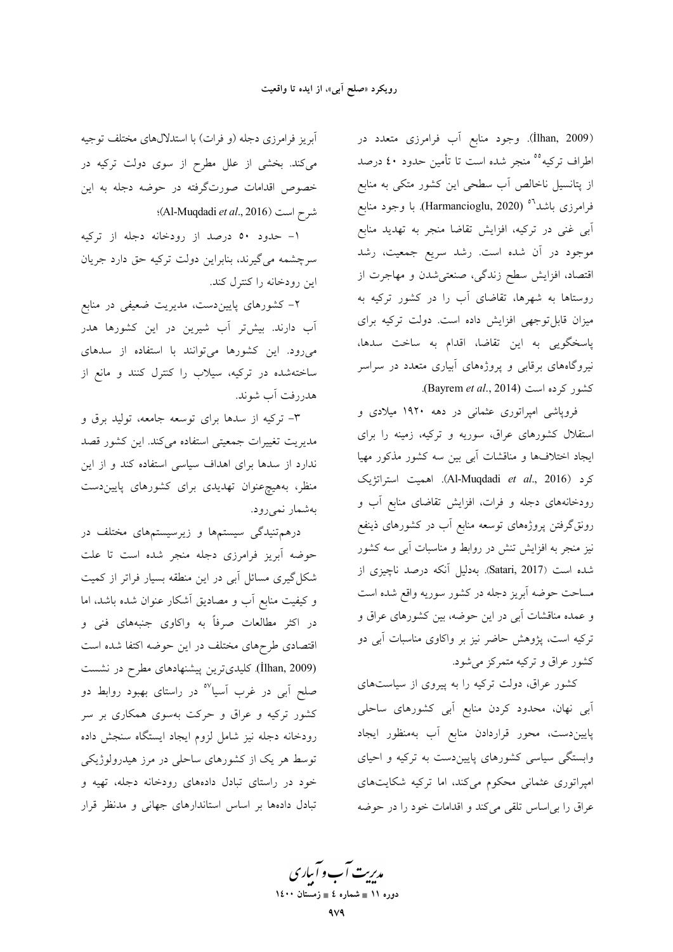(İlhan, 2009). وجود منابع أب فرامرزي متعدد در اطراف تركيه<sup>00</sup> منجر شده است تا تأمين حدود ٤٠ درصد از پتانسیل ناخالص آب سطحی این کشور متکی به منابع فرامرزی باشد<sup>۵</sup>° (Harmancioglu, 2020). با وجود منابع آبی غنی در ترکیه، افزایش تقاضا منجر به تهدید منابع موجود در آن شده است. رشد سریع جمعیت، رشد اقتصاد، افزایش سطح زندگی، صنعتی شدن و مهاجرت از روستاها به شهرها، تقاضای آب را در کشور ترکیه به میزان قابل توجهی افزایش داده است. دولت ترکیه برای پاسخگویی به این تقاضا، اقدام به ساخت سدها، نیروگاههای برقابی و پروژههای آبیاری متعدد در سراسر كشور كرده است (Bayrem et al., 2014).

فروپاشی امپراتوری عثمانی در دهه ۱۹۲۰ میلادی و استقلال کشورهای عراق، سوریه و ترکیه، زمینه را برای ایجاد اختلافها و مناقشات أبی بین سه کشور مذکور مهیا كرد (Al-Muqdadi et al., 2016). اهميت استراتژيك رودخانههای دجله و فرات، افزایش تقاضای منابع آب و رونقگرفتن پروژههای توسعه منابع آب در کشورهای ذینفع نیز منجر به افزایش تنش در روابط و مناسبات آبی سه کشور شده است (Satari, 2017). بهدلیل آنکه درصد ناچیزی از مساحت حوضه آبریز دجله در کشور سوریه واقع شده است و عمده مناقشات أبي در اين حوضه، بين كشورهاي عراق و ترکیه است، پژوهش حاضر نیز بر واکاوی مناسبات آبی دو کشور عراق و ترکیه متمرکز می شود.

کشور عراق، دولت ترکیه را به پیروی از سیاستهای آبی نهان، محدود کردن منابع آبی کشورهای ساحلی پاییندست، محور قراردادن منابع آب بهمنظور ایجاد وابستگی سیاسی کشورهای پایین دست به ترکیه و احیای امپراتوری عثمانی محکوم میکند، اما ترکیه شکایتهای عراق را بي اساس تلقى مى كند و اقدامات خود را در حوضه

آبریز فرامرزی دجله (و فرات) با استدلالهای مختلف توجیه میکند. بخشی از علل مطرح از سوی دولت ترکیه در خصوص اقدامات صورتگرفته در حوضه دجله به این : (Al-Muqdadi et al., 2016)

۱- حدود ۵۰ درصد از رودخانه دجله از ترکیه سرچشمه میگیرند، بنابراین دولت ترکیه حق دارد جریان این رودخانه را کنترل کند.

۲– کشورهای پاییندست، مدیریت ضعیفی در منابع آب دارند. بیشتر آب شیرین در این کشورها هدر میرود. این کشورها میتوانند با استفاده از سدهای ساختهشده در ترکیه، سیلاب را کنترل کنند و مانع از هدررفت اّب شوند.

۳- ترکیه از سدها برای توسعه جامعه، تولید برق و مدیریت تغییرات جمعیتی استفاده میکند. این کشور قصد .<br>ندارد از سدها برای اهداف سیاسی استفاده کند و از این منظر، بههیچرعنوان تهدیدی برای کشورهای پاییندست بەشمار نمىرود.

درهم تنیدگی سیستمها و زیرسیستمهای مختلف در حوضه آبریز فرامرزی دجله منجر شده است تا علت شکل گیری مسائل آبی در این منطقه بسیار فراتر از کمیت و کیفیت منابع آب و مصادیق اَشکار عنوان شده باشد، اما در اکثر مطالعات صرفاً به واکاوی جنبههای فنی و اقتصادی طرحهای مختلف در این حوضه اکتفا شده است (İlhan, 2009) کلیدیترین پیشنهادهای مطرح در نشست صلح آبی در غرب آسیا<sup>۵۷</sup> در راستای بهبود روابط دو کشور ترکیه و عراق و حرکت بهسوی همکاری بر سر رودخانه دجله نيز شامل لزوم ايجاد ايستگاه سنجش داده توسط هر یک از کشورهای ساحل<sub>ی</sub> در مرز هیدرولوژیکی خود در راستای تبادل دادههای رودخانه دجله، تهیه و تبادل دادهها بر اساس استاندارهای جهانی و مدنظر قرار

مدبریت آب و آبیاری دوره ۱۱ ∎ شماره ٤ ∎ زمستان ۱٤۰۰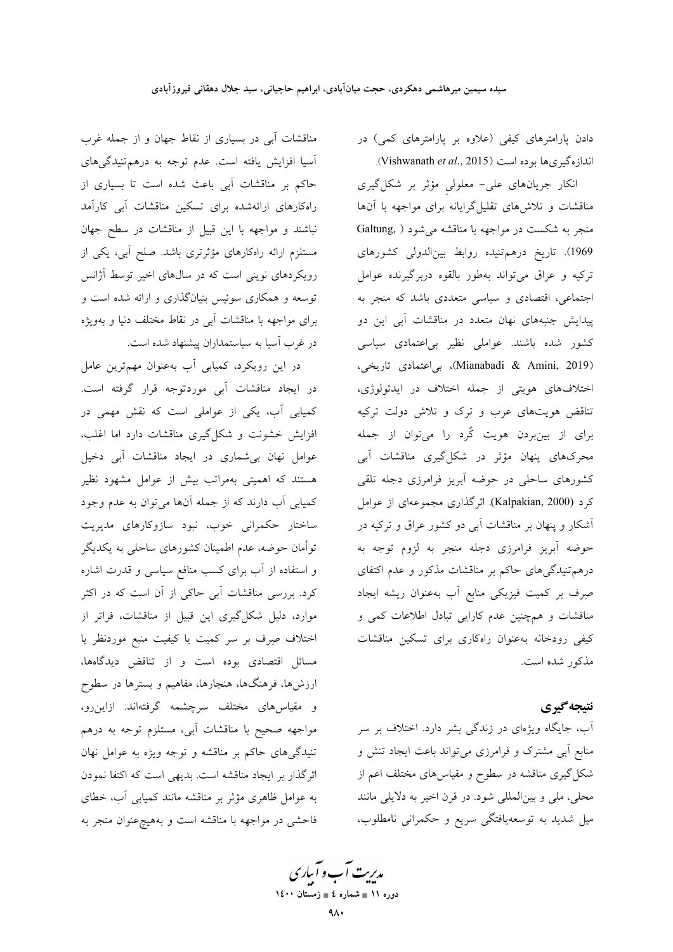دادن پارامترهای کیفی (علاوه بر پارامترهای کمی) در اندازهگیریها بوده است (Vishwanath et al., 2015).

انکار جریانهای علی- معلولی مؤثر بر شکل گیری مناقشات و تلاشهای تقلیلگرایانه برای مواجهه با آنها منجر به شکست در مواجهه با مناقشه می شود ( Galtung, 1969). تاریخ درهم تنیده روابط بینالدولی کشورهای ترکیه و عراق میتواند بهطور بالقوه دربرگیرنده عوامل اجتماعی، اقتصادی و سیاسی متعددی باشد که منجر به پیدایش جنبههای نهان متعدد در مناقشات آبی این دو کشور شده باشند. عواملی نظیر بیاعتمادی سیاسی (Mianabadi & Amini, 2019)، بى اعتمادى تاريخى، اختلافهای هویتی از جمله اختلاف در ایدئولوژی، تناقض هویتهای عرب و ترک و تلاش دولت ترکیه برای از بینبردن هویت کُرد را میتوان از جمله محرکهای پنهان مؤثر در شکلگیری مناقشات آبی کشورهای ساحلی در حوضه آبریز فرامرزی دجله تلقی كرد (Kalpakian, 2000). اثر گذارى مجموعهاى از عوامل آشکار و پنهان بر مناقشات آبی دو کشور عراق و ترکیه در حوضه آبریز فرامرزی دجله منجر به لزوم توجه به درهم تنیدگیهای حاکم بر مناقشات مذکور و عدم اکتفای صِرف بر کمیت فیزیکی منابع آب بهعنوان ریشه ایجاد مناقشات و همچنین عدم کارایی تبادل اطلاعات کمی و کیفی رودخانه بهعنوان راهکاری برای تسکین مناقشات مذکور شده است.

# نتيجه گيري

آب، جایگاه ویژهای در زندگی بشر دارد. اختلاف بر سر منابع آبی مشترک و فرامرزی می تواند باعث ایجاد تنش و شکل گیری مناقشه در سطوح و مقیاسهای مختلف اعم از محلي، ملي و بينالمللي شود. در قرن اخير به دلايلي مانند میل شدید به توسعهیافتگی سریع و حکمرانی نامطلوب،

مناقشات آبی در بسیاری از نقاط جهان و از جمله غرب آسیا افزایش یافته است. عدم توجه به درهم تنیدگیهای حاکم بر مناقشات آبی باعث شده است تا بسیاری از راهکارهای ارائهشده برای تسکین مناقشات آبی کارآمد نباشند و مواجهه با این قبیل از مناقشات در سطح جهان مستلزم ارائه راهکارهای مؤثرتری باشد. صلح آبی، یکی از رویکردهای نوینی است که در سالهای اخیر توسط آژانس توسعه و همکاری سوئیس بنیانگذاری و ارائه شده است و برای مواجهه با مناقشات آبی در نقاط مختلف دنیا و بهویژه در غرب آسیا به سیاستمداران پیشنهاد شده است.

در این رویکرد، کمپابی آب بهعنوان مهمترین عامل در ايجاد مناقشات آبي موردتوجه قرار گرفته است. کمیابی آب، یکی از عواملی است که نقش مهمی در افزایش خشونت و شکلگیری مناقشات دارد اما اغلب، عوامل نهان بی شماری در ایجاد مناقشات آبی دخیل هستند که اهمیتی بهمراتب بیش از عوامل مشهود نظیر کمیابی آب دارند که از جمله آنها می توان به عدم وجود ساختار حکمرانی خوب، نبود سازوکارهای مدیریت توأمان حوضه، عدم اطمینان کشورهای ساحلی به یکدیگر و استفاده از آب برای کسب منافع سیاسی و قدرت اشاره کرد. بررسی مناقشات آبی حاکی از آن است که در اکثر موارد، دلیل شکلگیری این قبیل از مناقشات، فراتر از اختلاف صِرف بر سر کمیت یا کیفیت منبع موردنظر یا مسائل اقتصادی بوده است و از تناقض دیدگاهها، ارزشها، فرهنگها، هنجارها، مفاهیم و بسترها در سطوح و مقیاس۵ای مختلف سرچشمه گرفتهاند. ازاین٫و، مواجهه صحیح با مناقشات آبی، مستلزم توجه به درهم تنیدگیهای حاکم بر مناقشه و توجه ویژه به عوامل نهان اثرگذار بر ایجاد مناقشه است. بدیهی است که اکتفا نمودن به عوامل ظاهری مؤثر بر مناقشه مانند کمیابی آب، خطای فاحشی در مواجهه با مناقشه است و بههیچ عنوان منجر به

مدبریت آب و آباری ۔<br>دورہ ۱۱ ∎ شمارہ ٤ ∎ زمستان ۱٤۰۰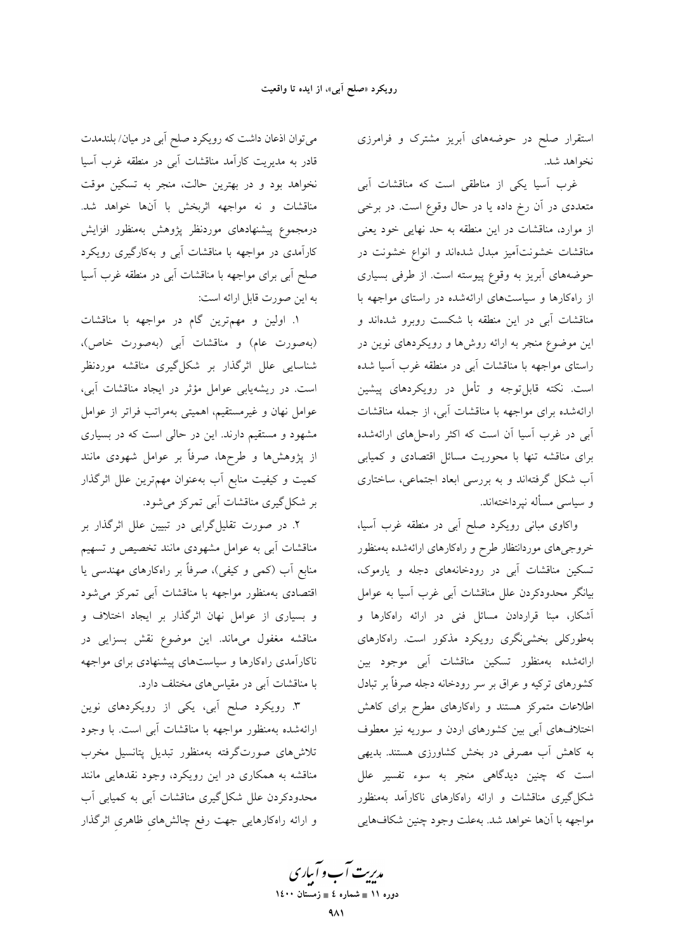استقرار صلح در حوضههای آبریز مشترک و فرامرزی نخواهد شد.

غرب اسیا یکی از مناطقی است که مناقشات آبی متعددی در آن رخ داده یا در حال وقوع است. در برخی از موارد، مناقشات در این منطقه به حد نهایی خود یعنی مناقشات خشونتآمیز مبدل شدهاند و انواع خشونت در حوضههای آبریز به وقوع پیوسته است. از طرفی بسیاری از راهکارها و سیاستهای ارائهشده در راستای مواجهه با مناقشات آبی در این منطقه با شکست روبرو شدهاند و این موضوع منجر به ارائه روشها و رویکردهای نوین در راستای مواجهه با مناقشات آبی در منطقه غرب آسیا شده است. نکته قابلتوجه و تأمل در رویکردهای پیشین ارائهشده برای مواجهه با مناقشات آبی، از جمله مناقشات ابی در غرب اسیا ان است که اکثر راهحلهای ارائهشده برای مناقشه تنها با محوریت مسائل اقتصادی و کمیابی ۔<br>اَب شکل گرفتهاند و به بررسی ابعاد اجتماعی، ساختاری و سیاسی مسأله نیرداختهاند.

واکاوی مبانی رویکرد صلح آبی در منطقه غرب آسیا، خروجىهاى موردانتظار طرح و راهكارهاى ارائهشده بهمنظور تسکین مناقشات آبی در رودخانههای دجله و یارموک، بیانگر محدودکردن علل مناقشات آبی غرب آسیا به عوامل آشکار، مبنا قراردادن مسائل فنی در ارائه راهکارها و بهطورکلی بخشی نگری رویکرد مذکور است. راهکارهای ارائهشده بهمنظور تسكين مناقشات آبى موجود بين کشورهای ترکیه و عراق بر سر رودخانه دجله صرفاً بر تبادل اطلاعات متمرکز هستند و راهکارهای مطرح برای کاهش اختلافهای آبی بین کشورهای اردن و سوریه نیز معطوف به کاهش آب مصرفی در بخش کشاورزی هستند. بدیهی است که چنین دیدگاهی منجر به سوء تفسیر علل شکل گیری مناقشات و ارائه راهکارهای ناکارآمد بهمنظور مواجهه با آنها خواهد شد. بهعلت وجود چنین شکافهایی

می توان اذعان داشت که رویکرد صلح آبی در میان/ بلندمدت قادر به مدیریت کارآمد مناقشات آبی در منطقه غرب آسیا نخواهد بود و در بهترین حالت، منجر به تسکین موقت .<br>مناقشات و نه مواجهه اثربخش با آنها خواهد شد. درمجموع پیشنهادهای موردنظر پژوهش بهمنظور افزایش کارآمدی در مواجهه با مناقشات آبی و بهکارگیری رویکرد صلح آبی برای مواجهه با مناقشات آبی در منطقه غرب آسیا به این صورت قابل ارائه است:

۱. اولین و مهمترین گام در مواجهه با مناقشات (بهصورت عام) و مناقشات آبی (بهصورت خاص)، .<br>شناسایی علل اثرگذار بر شکلگیری مناقشه موردنظر است. در ریشهپابی عوامل مؤثر در ایجاد مناقشات آبی، عوامل نهان و غیرمستقیم، اهمیتی بهمراتب فراتر از عوامل مشهود و مستقیم دارند. این در حالی است که در بسیاری از پژوهشها و طرحها، صرفاً بر عوامل شهودی مانند کمیت و کیفیت منابع اَب بهعنوان مهمترین علل اثرگذار بر شکل گیری مناقشات آبی تمرکز می شود.

۲. در صورت تقلیل گرایی در تبیین علل اثرگذار بر مناقشات آبی به عوامل مشهودی مانند تخصیص و تسهیم منابع أب (کمی و کیفی)، صرفاً بر راهکارهای مهندسی یا اقتصادی بهمنظور مواجهه با مناقشات آبی تمرکز می شود و بسیاری از عوامل نهان اثرگذار بر ایجاد اختلاف و مناقشه مغفول میماند. این موضوع نقش بسزایی در ناکارآمدی راهکارها و سیاستهای پیشنهادی برای مواجهه با مناقشات آبی در مقیاس های مختلف دارد.

۳. رویکرد صلح آبی، یکی از رویکردهای نوین ارائهشده بهمنظور مواجهه با مناقشات آبی است. با وجود تلاشرهای صورتگرفته بهمنظور تبدیل پتانسیل مخرب مناقشه به همکاری در این رویکرد، وجود نقدهایی مانند محدودکردن علل شکل گیری مناقشات آبی به کمیابی آب و ارائه راهکارهایی جهت رفع چالشهای ظاهری اثرگذار

مدیریت آب و آبیاری دوره ۱۱ ∎ شماره ٤ ∎ زمستان ۱٤۰۰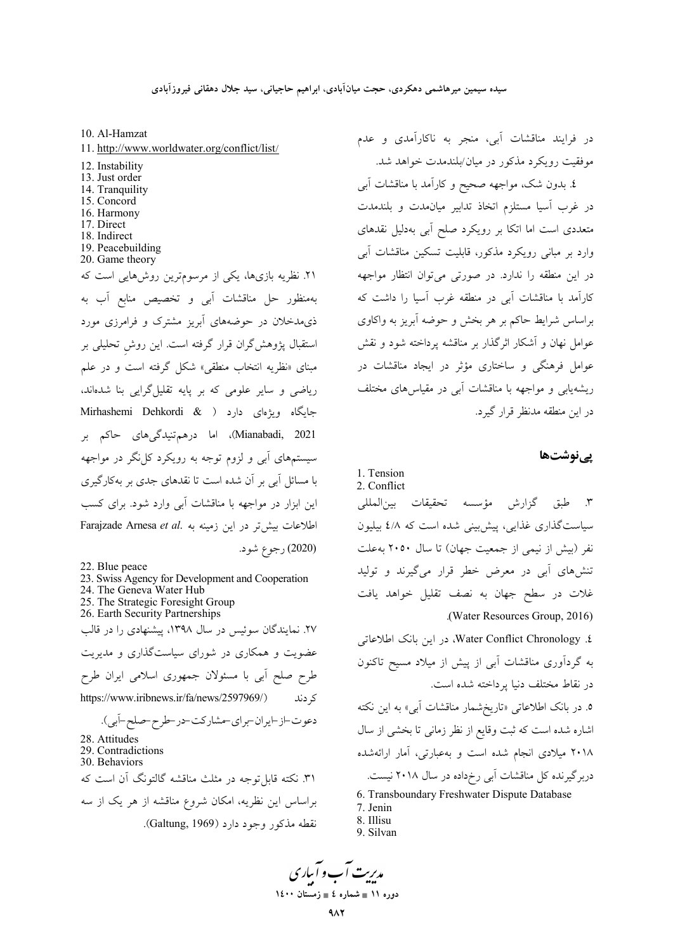10. Al-Hamzat

- 11. http://www.worldwater.org/conflict/list/
- 12. Instability
- 13. Just order
- 14. Tranquility
- 15. Concord
- 16. Harmony
- 17. Direct
- 18. Indirect
- 19. Peacebuilding
- 20. Game theory

٢١. نظریه بازیها، یکی از مرسومترین روشهایی است که بهمنظور حل مناقشات آبی و تخصیص منابع آب به ذیمدخلان در حوضههای آبریز مشترک و فرامرزی مورد استقبال پژوهش گران قرار گرفته است. این روش تحلیلی بر مبنای «نظریه انتخاب منطقی» شکل گرفته است و در علم ریاضی و سایر علومی که بر پایه تقلیل گرایی بنا شدهاند، جایگاه ویژهای دارد ( Mirhashemi Dehkordi & Mianabadi, 2021)، اما درهم تنیدگی های حاکم بر سیستمهای آبی و لزوم توجه به رویکرد کل نگر در مواجهه با مسائل آبی بر آن شده است تا نقدهای جدی بر بهکارگیری این ایزار در مواجهه با مناقشات آبی وارد شود. برای کسب Farajzade Arnesa et al. اطلاعات بيش تر در اين زمينه به Farajzade Arnesa et al. (2020) رجوع شود.

- 22. Blue peace
- 23. Swiss Agency for Development and Cooperation 24. The Geneva Water Hub
- 25. The Strategic Foresight Group
- 26. Earth Security Partnerships

۲۷. نمایندگان سوئیس در سال ۱۳۹۸، پیشنهادی را در قالب عضویت و همکاری در شورای سیاستگذاری و مدیریت طرح صلح أبي با مسئولان جمهوري اسلامي ايران طرح https://www.iribnews.ir/fa/news/2597969/) ک دند

دعوت-از-ايران-براي-مشاركت-در-طرح-صلح-آبي). 28. Attitudes 29. Contradictions 30. Behaviors ۳۱. نکته قابل توجه در مثلث مناقشه گالتونگ آن است که براساس این نظریه، امکان شروع مناقشه از هر یک از سه نقطه مذکور وجود دارد (Galtung, 1969).

در فرایند مناقشات آبی، منجر به ناکارآمدی و عدم موفقیت رویکرد مذکور در میان/بلندمدت خواهد شد.

٤. بدون شک، مواجهه صحیح و کارآمد با مناقشات آبی در غرب آسیا مستلزم اتخاذ تدابیر میانمدت و بلندمدت متعددی است اما اتکا بر رویکرد صلح آبی بهدلیل نقدهای وارد بر مبانی رویکرد مذکور، قابلیت تسکین مناقشات آبی در این منطقه را ندارد. در صورتی می توان انتظار مواجهه کارآمد با مناقشات آبی در منطقه غرب آسیا را داشت که براساس شرایط حاکم بر هر بخش و حوضه آبریز به واکاوی عوامل نهان و آشکار اثرگذار بر مناقشه پرداخته شود و نقش عوامل فرهنگی و ساختاری مؤثر در ایجاد مناقشات در ریشهپابی و مواجهه با مناقشات آبی در مقیاس های مختلف در اين منطقه مدنظر قرار گيرد.

یے نوشتھا

1. Tension 2. Conflict

٣. طبق گزارش مؤسسه تحقيقات بين|لمللي سیاستگذاری غذایی، پیش بینی شده است که ٤/٨ بیلیون نفر (بیش از نیمی از جمعیت جهان) تا سال ۲۰۵۰ به علت تنشهای آبی در معرض خطر قرار میگیرند و تولید غلات در سطح جهان به نصف تقلیل خواهد یافت .(Water Resources Group, 2016)

£. Water Conflict Chronology، در این بانک اطلاعاتی به گردآوری مناقشات آبی از پیش از میلاد مسیح تاکنون در نقاط مختلف دنیا پرداخته شده است.

۰. در بانک اطلاعاتی «تاریخشمار مناقشات آبی» به این نکته اشاره شده است که ثبت وقایع از نظر زمان<sub>ی</sub> تا بخشی از سال ۲۰۱۸ میلادی انجام شده است و بهعبارتی، آمار ارائهشده دربر گیرنده کل مناقشات آبی رخداده در سال ۲۰۱۸ نیست.

- 6. Transboundary Freshwater Dispute Database
- 7. Jenin
- 8. Illisu
- 9. Silvan

مدبریت آب و آساری

دوره ۱۱ ∎ شماره ٤ ∎ زمستان ۱٤۰۰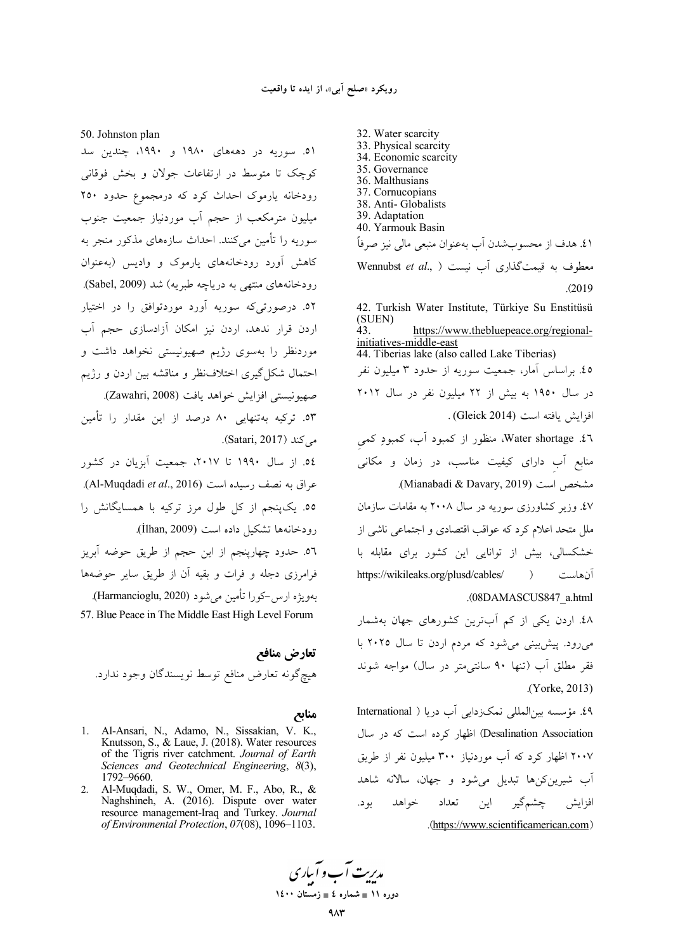32. Water scarcity

50. Johnston plan

۵۱. سوریه در دهههای ۱۹۸۰ و ۱۹۹۰، چندین سد کوچک تا متوسط در ارتفاعات جولان و بخش فوقانی رودخانه یارموک احداث کرد که درمجموع حدود ۲۵۰ میلیون مترمکعب از حجم آب موردنیاز جمعیت جنوب سوریه را تأمین میکنند. احداث سازههای مذکور منجر به کاهش آورد رودخانههای یارموک و وادیس (بهعنوان رودخانههای منتهی به دریاچه طبریه) شد (Sabel, 2009). ٥٢. درصورتیکه سوریه آورد موردتوافق را در اختیار اردن قرار ندهد، اردن نیز امکان آزادسازی حجم آب موردنظر را بهسوی رژیم صهیونیستی نخواهد داشت و احتمال شکل گیری اختلافنظر و مناقشه بین اردن و رژیم صهيونيستي افزايش خواهد يافت (Zawahri, 2008). ٥٣. تركيه بهتنهايي ٨٠ درصد از اين مقدار را تأمين می کند (Satari, 2017). ٥٤. از سال ١٩٩٠ تا ٢٠١٧، جمعيت آبزيان در كشور عراق به نصف رسیده است (Al-Muqdadi et al., 2016). ٥٥. يکپنجم از کل طول مرز ترکيه با همسايگانش را رودخانهها تشكيل داده است (İlhan, 2009). ٥٦. حدود چهارپنجم از این حجم از طریق حوضه آبریز فرامرزی دجله و فرات و بقیه آن از طریق سایر حوضهها بهويژه ارس-كورا تأمين مي شود (Harmancioglu, 2020). 57. Blue Peace in The Middle East High Level Forum

تعارض منافع هيچ گونه تعارض منافع توسط نويسندگان وجود ندارد.

منابع

- 1. Al-Ansari, N., Adamo, N., Sissakian, V. K., Knutsson, S., & Laue, J. (2018). Water resources of the Tigris river catchment. Journal of Earth Sciences and Geotechnical Engineering, 8(3), 1792-9660.
- 2. Al-Muqdadi, S. W., Omer, M. F., Abo, R., & Naghshineh, A. (2016). Dispute over water resource management-Iraq and Turkey. Journal of Environmental Protection, 07(08), 1096-1103.

33. Physical scarcity 34. Economic scarcity 35. Governance 36. Malthusians 37. Cornucopians 38. Anti-Globalists 39. Adaptation 40. Yarmouk Basin ٤١. هدف از محسوبشدن آب بهعنوان منبعي مالي نيز صرفاً Wennubst et al., ) نست ( $\epsilon$ . Wennubst et al., )  $. (2019$ 

42. Turkish Water Institute, Türkiye Su Enstitüsü (SUEN) 43. https://www.thebluepeace.org/regionalinitiatives-middle-east 44. Tiberias lake (also called Lake Tiberias) ٤٥. براساس أمار، جمعیت سوریه از حدود ٣ میلیون نفر در سال ۱۹۵۰ به بیش از ۲۲ میلیون نفر در سال ۲۰۱۲ افزايش يافته است (Gleick 2014). ٩£. Water shortage، منظور از كمبود آب، كمبودِ كمي منابع آب دارای کیفیت مناسب، در زمان و مکانی مشخص است (Mianabadi & Davary, 2019). ٤٧. وزير كشاورزي سوريه در سال ٢٠٠٨ به مقامات سازمان ملل متحد اعلام کرد که عواقب اقتصادی و اجتماعی ناشی از خشکسالی، بیش از توانایی این کشور برای مقابله با https://wikileaks.org/plusd/cables/  $\rightarrow$ آنهاست .(08DAMASCUS847 a.html

٤٨. اردن يكي از كم آبترين كشورهاي جهان بهشمار میرود. پیش بینی میشود که مردم اردن تا سال ۲۰۲۵ با فقر مطلق آب (تنها ۹۰ سانتی متر در سال) مواجه شوند (Yorke, 2013).

٤٩. مؤسسه بين المللي نمكزدايي آب دريا ( International Desalination Association) اظهار کرده است که در سال ۲۰۰۷ اظهار کرد که آب موردنیاز ۳۰۰ میلیون نفر از طریق آب شیرین کنها تبدیل میشود و جهان، سالانه شاهد تعداد این چشم گیر نو د. خواهد افزايش .(https://www.scientificamerican.com)

مدریت آب و آباری دوره ۱۱ ∎ شماره ٤ ∎ زمستان ۱٤۰۰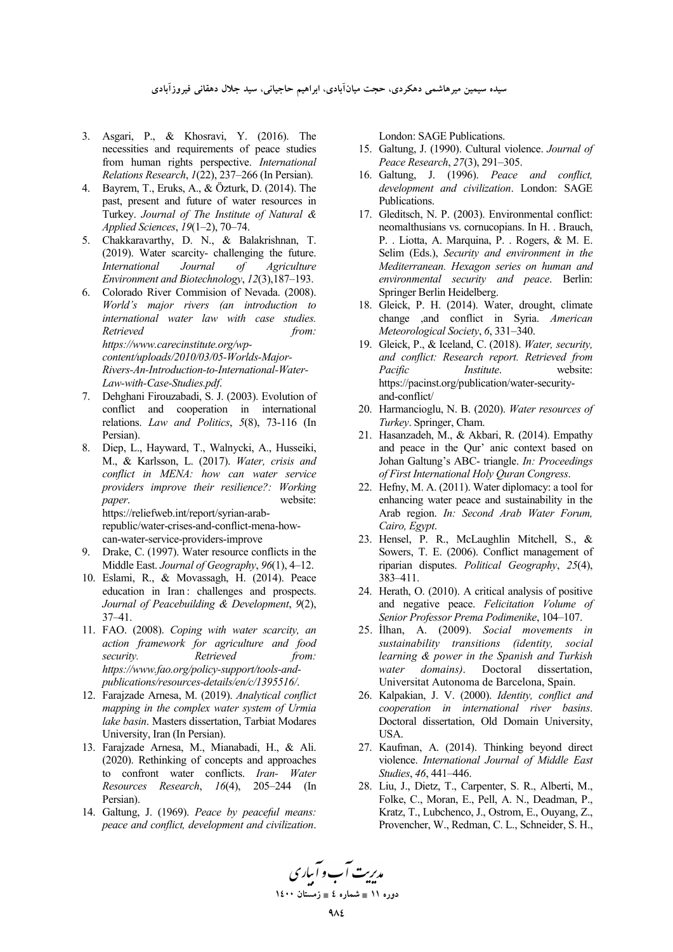سیده سیمین میرهاشمی دهکردی، حجت میان!بادی، ابراهیم حاجیانی، سید جلال دهقانی فیروز!بادی

- 3. Asgari, P., & Khosravi, Y. (2016). The necessities and requirements of peace studies from human rights perspective. *International Relations Research*, *1*(22), 237–266 (In Persian).
- 4. Bayrem, T., Eruks, A., & Özturk, D. (2014). The past, present and future of water resources in Turkey. *Journal of The Institute of Natural & Applied Sciences*, *19*(1–2), 70–74.
- 5. Chakkaravarthy, D. N., & Balakrishnan, T. (2019). Water scarcity- challenging the future. *International Journal of Agriculture Environment and Biotechnology*, *12*(3),187–193.
- 6. Colorado River Commision of Nevada. (2008). *World's major rivers (an introduction to international water law with case studies. Retrieved from: https://www.carecinstitute.org/wpcontent/uploads/2010/03/05-Worlds-Major-*

*Rivers-An-Introduction-to-International-Water-Law-with-Case-Studies.pdf*.

- 7. Dehghani Firouzabadi, S. J. (2003). Evolution of conflict and cooperation in international relations. *Law and Politics*, *5*(8), 73-116 (In Persian).
- 8. Diep, L., Hayward, T., Walnycki, A., Husseiki, M., & Karlsson, L. (2017). *Water, crisis and conflict in MENA: how can water service providers improve their resilience?: Working paper*. website: https://reliefweb.int/report/syrian-arabrepublic/water-crises-and-conflict-mena-howcan-water-service-providers-improve
- 9. Drake, C. (1997). Water resource conflicts in the Middle East. *Journal of Geography*, *96*(1), 4–12.
- 10. Eslami, R., & Movassagh, H. (2014). Peace education in Iran : challenges and prospects. *Journal of Peacebuilding & Development*, *9*(2), 37–41.
- 11. FAO. (2008). *Coping with water scarcity, an action framework for agriculture and food security. Retrieved from: https://www.fao.org/policy-support/tools-andpublications/resources-details/en/c/1395516/*.
- 12. Farajzade Arnesa, M. (2019). *Analytical conflict mapping in the complex water system of Urmia lake basin*. Masters dissertation, Tarbiat Modares University, Iran (In Persian).
- 13. Farajzade Arnesa, M., Mianabadi, H., & Ali. (2020). Rethinking of concepts and approaches to confront water conflicts. *Iran- Water Resources Research*, *16*(4), 205–244 (In Persian).
- 14. Galtung, J. (1969). *Peace by peaceful means: peace and conflict, development and civilization*.

London: SAGE Publications.

- 15. Galtung, J. (1990). Cultural violence. *Journal of Peace Research*, *27*(3), 291–305.
- 16. Galtung, J. (1996). *Peace and conflict, development and civilization*. London: SAGE Publications.
- 17. Gleditsch, N. P. (2003). Environmental conflict: neomalthusians vs. cornucopians. In H. . Brauch, P. . Liotta, A. Marquina, P. . Rogers, & M. E. Selim (Eds.), *Security and environment in the Mediterranean. Hexagon series on human and environmental security and peace*. Berlin: Springer Berlin Heidelberg.
- 18. Gleick, P. H. (2014). Water, drought, climate change ,and conflict in Syria. *American Meteorological Society*, *6*, 331–340.
- 19. Gleick, P., & Iceland, C. (2018). *Water, security, and conflict: Research report. Retrieved from Pacific Institute*. website: https://pacinst.org/publication/water-securityand-conflict/
- 20. Harmancioglu, N. B. (2020). *Water resources of Turkey*. Springer, Cham.
- 21. Hasanzadeh, M., & Akbari, R. (2014). Empathy and peace in the Qur' anic context based on Johan Galtung's ABC- triangle. *In: Proceedings of First International Holy Quran Congress*.
- 22. Hefny, M. A. (2011). Water diplomacy: a tool for enhancing water peace and sustainability in the Arab region. *In: Second Arab Water Forum, Cairo, Egypt*.
- 23. Hensel, P. R., McLaughlin Mitchell, S., & Sowers, T. E. (2006). Conflict management of riparian disputes. *Political Geography*, *25*(4), 383–411.
- 24. Herath, O. (2010). A critical analysis of positive and negative peace. *Felicitation Volume of Senior Professor Prema Podimenike*, 104–107.
- 25. İlhan, A. (2009). *Social movements in sustainability transitions (identity, social learning & power in the Spanish and Turkish water domains)*. Doctoral dissertation, Universitat Autonoma de Barcelona, Spain.
- 26. Kalpakian, J. V. (2000). *Identity, conflict and cooperation in international river basins*. Doctoral dissertation, Old Domain University, **I**ISA.
- 27. Kaufman, A. (2014). Thinking beyond direct violence. *International Journal of Middle East Studies*, *46*, 441–446.
- 28. Liu, J., Dietz, T., Carpenter, S. R., Alberti, M., Folke, C., Moran, E., Pell, A. N., Deadman, P., Kratz, T., Lubchenco, J., Ostrom, E., Ouyang, Z., Provencher, W., Redman, C. L., Schneider, S. H.,

مد*ریت آ*ب و آباری **11 × 11 می** شماره ٤ ∎ زمستان ۱٤۰۰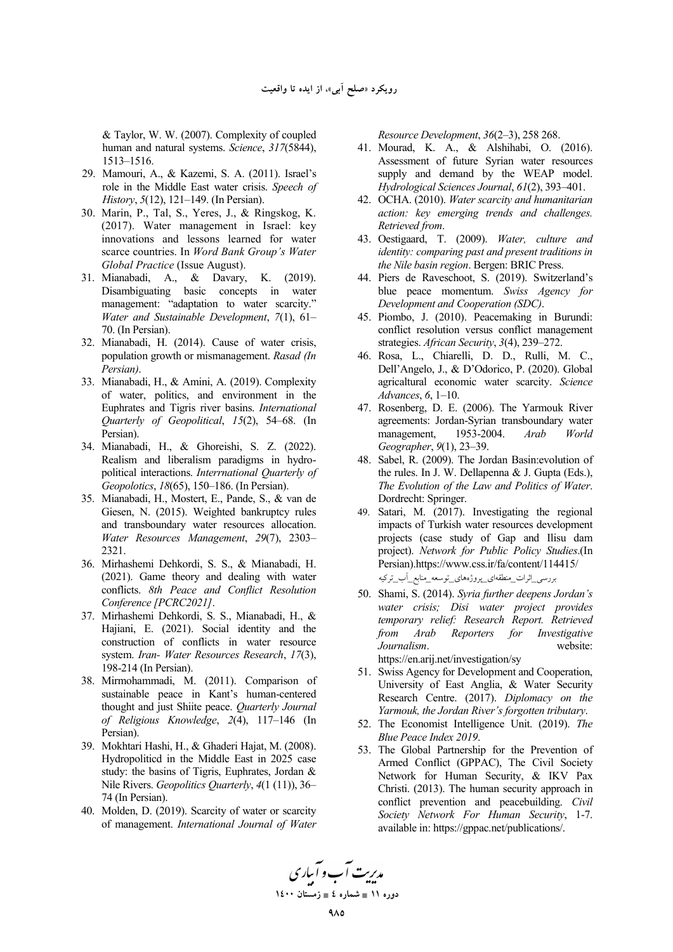& Taylor, W. W. (2007). Complexity of coupled human and natural systems. *Science*, *317*(5844), 1513–1516.

- 29. Mamouri, A., & Kazemi, S. A. (2011). Israel's role in the Middle East water crisis. *Speech of History*, *5*(12), 121–149. (In Persian).
- 30. Marin, P., Tal, S., Yeres, J., & Ringskog, K. (2017). Water management in Israel: key innovations and lessons learned for water scarce countries. In *Word Bank Group's Water Global Practice* (Issue August).
- 31. Mianabadi, A., & Davary, K. (2019). Disambiguating basic concepts in water management: "adaptation to water scarcity." *Water and Sustainable Development*, *7*(1), 61– 70. (In Persian).
- 32. Mianabadi, H. (2014). Cause of water crisis, population growth or mismanagement. *Rasad (In Persian)*.
- 33. Mianabadi, H., & Amini, A. (2019). Complexity of water, politics, and environment in the Euphrates and Tigris river basins. *International Quarterly of Geopolitical*, *15*(2), 54–68. (In Persian).
- 34. Mianabadi, H., & Ghoreishi, S. Z. (2022). Realism and liberalism paradigms in hydropolitical interactions. *Interrnational Quarterly of Geopolotics*, *18*(65), 150–186. (In Persian).
- 35. Mianabadi, H., Mostert, E., Pande, S., & van de Giesen, N. (2015). Weighted bankruptcy rules and transboundary water resources allocation. *Water Resources Management*, *29*(7), 2303– 2321.
- 36. Mirhashemi Dehkordi, S. S., & Mianabadi, H. (2021). Game theory and dealing with water conflicts. *8th Peace and Conflict Resolution Conference [PCRC2021]*.
- 37. Mirhashemi Dehkordi, S. S., Mianabadi, H., & Hajiani, E. (2021). Social identity and the construction of conflicts in water resource system. *Iran- Water Resources Research*, *17*(3), 198-214 (In Persian).
- 38. Mirmohammadi, M. (2011). Comparison of sustainable peace in Kant's human-centered thought and just Shiite peace. *Quarterly Journal of Religious Knowledge*, *2*(4), 117–146 (In Persian).
- 39. Mokhtari Hashi, H., & Ghaderi Hajat, M. (2008). Hydropoliticd in the Middle East in 2025 case study: the basins of Tigris, Euphrates, Jordan & Nile Rivers. *Geopolitics Quarterly*, *4*(1 (11)), 36– 74 (In Persian).
- 40. Molden, D. (2019). Scarcity of water or scarcity of management. *International Journal of Water*

*Resource Development*, *36*(2–3), 258 268.

- 41. Mourad, K. A., & Alshihabi, O. (2016). Assessment of future Syrian water resources supply and demand by the WEAP model. *Hydrological Sciences Journal*, *61*(2), 393–401.
- 42. OCHA. (2010). *Water scarcity and humanitarian action: key emerging trends and challenges. Retrieved from*.
- 43. Oestigaard, T. (2009). *Water, culture and identity: comparing past and present traditions in the Nile basin region*. Bergen: BRIC Press.
- 44. Piers de Raveschoot, S. (2019). Switzerland's blue peace momentum. *Swiss Agency for Development and Cooperation (SDC)*.
- 45. Piombo, J. (2010). Peacemaking in Burundi: conflict resolution versus conflict management strategies. *African Security*, *3*(4), 239–272.
- 46. Rosa, L., Chiarelli, D. D., Rulli, M. C., Dell'Angelo, J., & D'Odorico, P. (2020). Global agricaltural economic water scarcity. *Science Advances*, *6*, 1–10.
- 47. Rosenberg, D. E. (2006). The Yarmouk River agreements: Jordan-Syrian transboundary water management, 1953-2004. *Arab World Geographer*, *9*(1), 23–39.
- 48. Sabel, R. (2009). The Jordan Basin:evolution of the rules. In J. W. Dellapenna & J. Gupta (Eds.), *The Evolution of the Law and Politics of Water*. Dordrecht: Springer.
- 49. Satari, M. (2017). Investigating the regional impacts of Turkish water resources development projects (case study of Gap and Ilisu dam project). *Network for Public Policy Studies*.(In Persian).https://www.css.ir/fa/content/114415/ بررسی\_اثرات\_منطقهای\_پروژههای\_توسعه\_منابع\_آب\_ترکیه
- 50. Shami, S. (2014). *Syria further deepens Jordan's water crisis; Disi water project provides temporary relief: Research Report. Retrieved from Arab Reporters for Investigative Journalism*. website: https://en.arij.net/investigation/sy
- 51. Swiss Agency for Development and Cooperation, University of East Anglia, & Water Security Research Centre. (2017). *Diplomacy on the Yarmouk, the Jordan River's forgotten tributary*.
- 52. The Economist Intelligence Unit. (2019). *The Blue Peace Index 2019*.
- 53. The Global Partnership for the Prevention of Armed Conflict (GPPAC), The Civil Society Network for Human Security, & IKV Pax Christi. (2013). The human security approach in conflict prevention and peacebuilding. *Civil Society Network For Human Security*, 1-7. available in: https://gppac.net/publications/.

مدیریت آب و آباری **11 × 11 می** شماره ٤ ∎ زمستان ۱٤۰۰